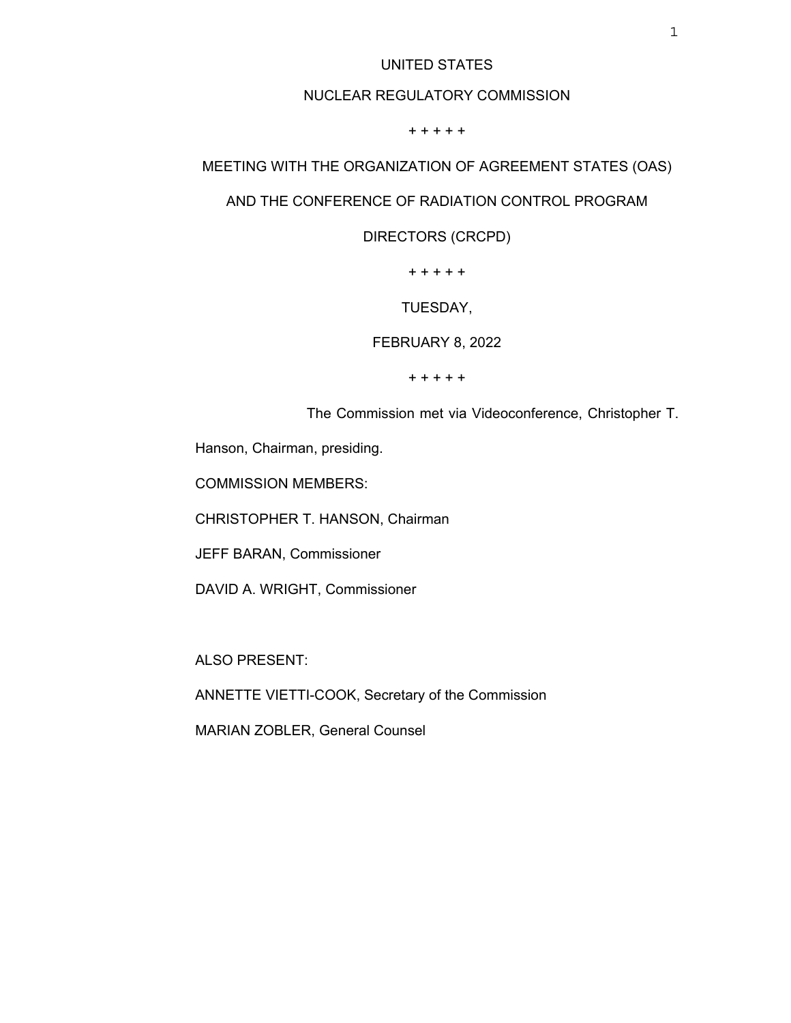## UNITED STATES

## NUCLEAR REGULATORY COMMISSION

+ + + + +

# MEETING WITH THE ORGANIZATION OF AGREEMENT STATES (OAS)

## AND THE CONFERENCE OF RADIATION CONTROL PROGRAM

DIRECTORS (CRCPD)

+ + + + +

TUESDAY,

FEBRUARY 8, 2022

+ + + + +

The Commission met via Videoconference, Christopher T.

Hanson, Chairman, presiding.

COMMISSION MEMBERS:

CHRISTOPHER T. HANSON, Chairman

JEFF BARAN, Commissioner

DAVID A. WRIGHT, Commissioner

ALSO PRESENT:

ANNETTE VIETTI-COOK, Secretary of the Commission

MARIAN ZOBLER, General Counsel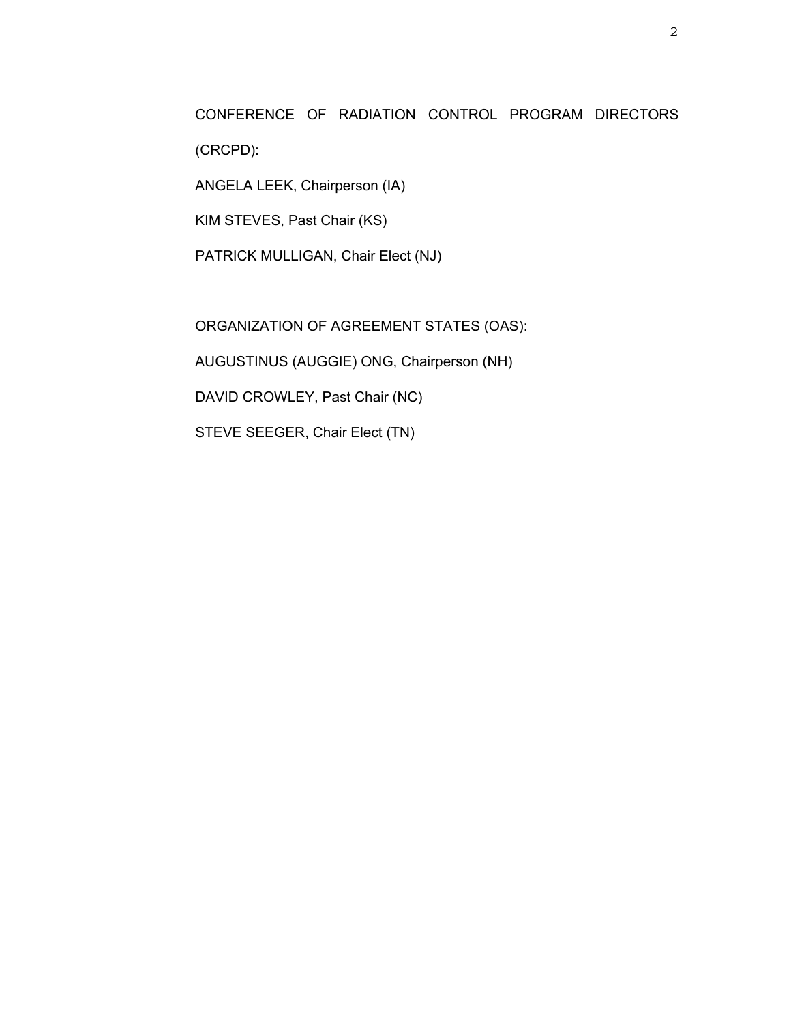CONFERENCE OF RADIATION CONTROL PROGRAM DIRECTORS (CRCPD):

ANGELA LEEK, Chairperson (IA)

KIM STEVES, Past Chair (KS)

PATRICK MULLIGAN, Chair Elect (NJ)

ORGANIZATION OF AGREEMENT STATES (OAS): AUGUSTINUS (AUGGIE) ONG, Chairperson (NH) DAVID CROWLEY, Past Chair (NC) STEVE SEEGER, Chair Elect (TN)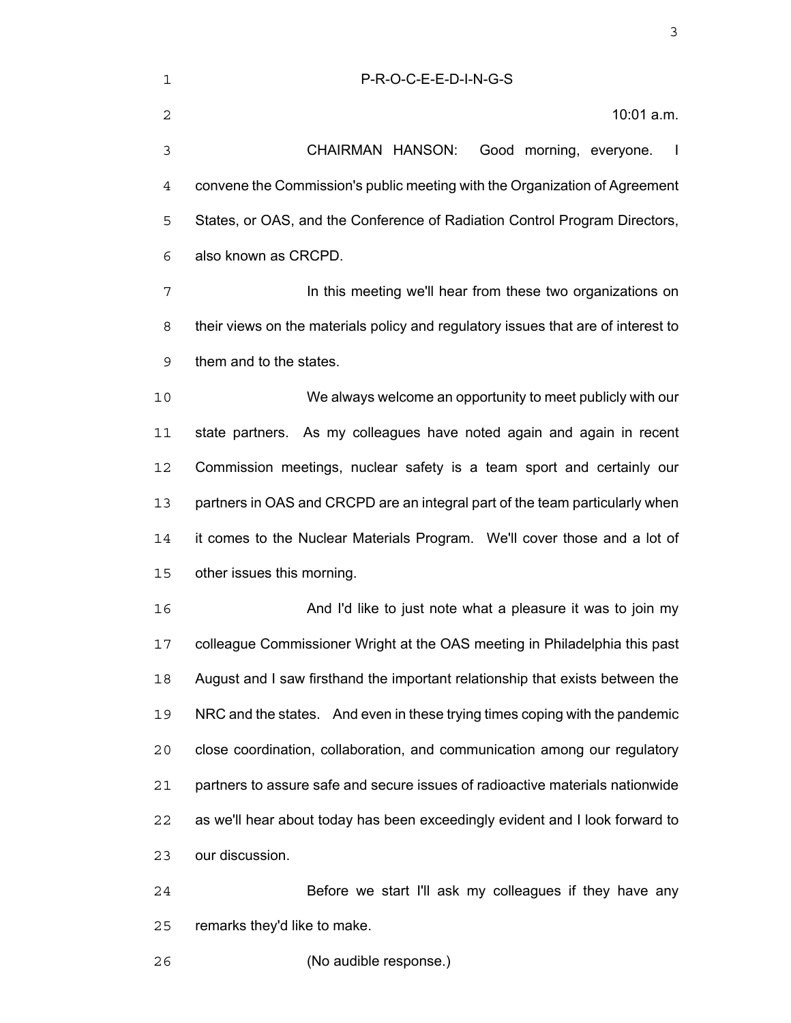| $\overline{2}$ | 10:01 a.m.                                                                                                |
|----------------|-----------------------------------------------------------------------------------------------------------|
| 3              | CHAIRMAN HANSON:<br>Good morning, everyone.<br>$\mathbf{I}$                                               |
| 4              | convene the Commission's public meeting with the Organization of Agreement                                |
| 5              | States, or OAS, and the Conference of Radiation Control Program Directors,                                |
| 6              | also known as CRCPD.                                                                                      |
| 7              | In this meeting we'll hear from these two organizations on                                                |
| 8              | their views on the materials policy and regulatory issues that are of interest to                         |
| 9              | them and to the states.                                                                                   |
| 10             | We always welcome an opportunity to meet publicly with our                                                |
| 11             | state partners. As my colleagues have noted again and again in recent                                     |
| 12             | Commission meetings, nuclear safety is a team sport and certainly our                                     |
| 13             | partners in OAS and CRCPD are an integral part of the team particularly when                              |
| 14             | it comes to the Nuclear Materials Program. We'll cover those and a lot of                                 |
| 15             | other issues this morning.                                                                                |
| 16             | And I'd like to just note what a pleasure it was to join my                                               |
| 17             | colleague Commissioner Wright at the OAS meeting in Philadelphia this past                                |
| 18             | August and I saw firsthand the important relationship that exists between the                             |
| $\sim$         | $\mathsf{NIDC}$ and the ototes $\mathsf{A}$ indicate in these truing times conjugative with the nondergia |

NRC and the states. And even in these trying times coping with the pandemic close coordination, collaboration, and communication among our regulatory partners to assure safe and secure issues of radioactive materials nationwide as we'll hear about today has been exceedingly evident and I look forward to our discussion.

Before we start I'll ask my colleagues if they have any remarks they'd like to make.

(No audible response.)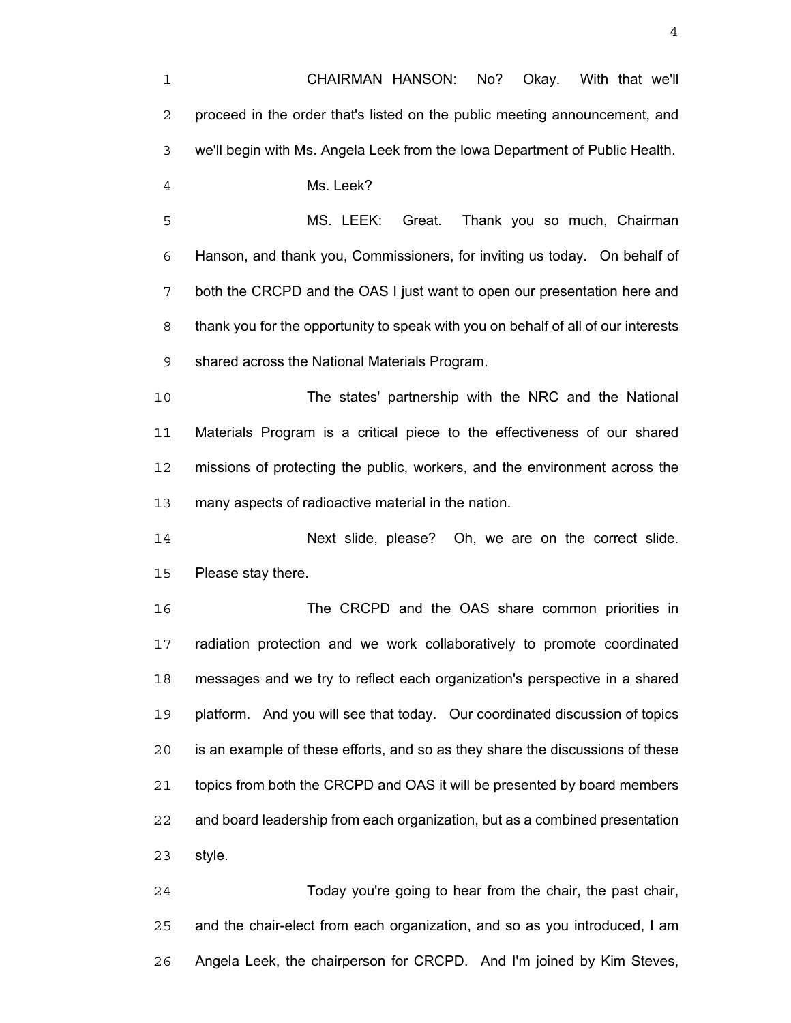CHAIRMAN HANSON: No? Okay. With that we'll proceed in the order that's listed on the public meeting announcement, and we'll begin with Ms. Angela Leek from the Iowa Department of Public Health. Ms. Leek? MS. LEEK: Great. Thank you so much, Chairman Hanson, and thank you, Commissioners, for inviting us today. On behalf of both the CRCPD and the OAS I just want to open our presentation here and thank you for the opportunity to speak with you on behalf of all of our interests shared across the National Materials Program. The states' partnership with the NRC and the National Materials Program is a critical piece to the effectiveness of our shared missions of protecting the public, workers, and the environment across the many aspects of radioactive material in the nation. Next slide, please? Oh, we are on the correct slide. Please stay there. The CRCPD and the OAS share common priorities in radiation protection and we work collaboratively to promote coordinated messages and we try to reflect each organization's perspective in a shared platform. And you will see that today. Our coordinated discussion of topics is an example of these efforts, and so as they share the discussions of these topics from both the CRCPD and OAS it will be presented by board members and board leadership from each organization, but as a combined presentation style. Today you're going to hear from the chair, the past chair, and the chair-elect from each organization, and so as you introduced, I am

Angela Leek, the chairperson for CRCPD. And I'm joined by Kim Steves,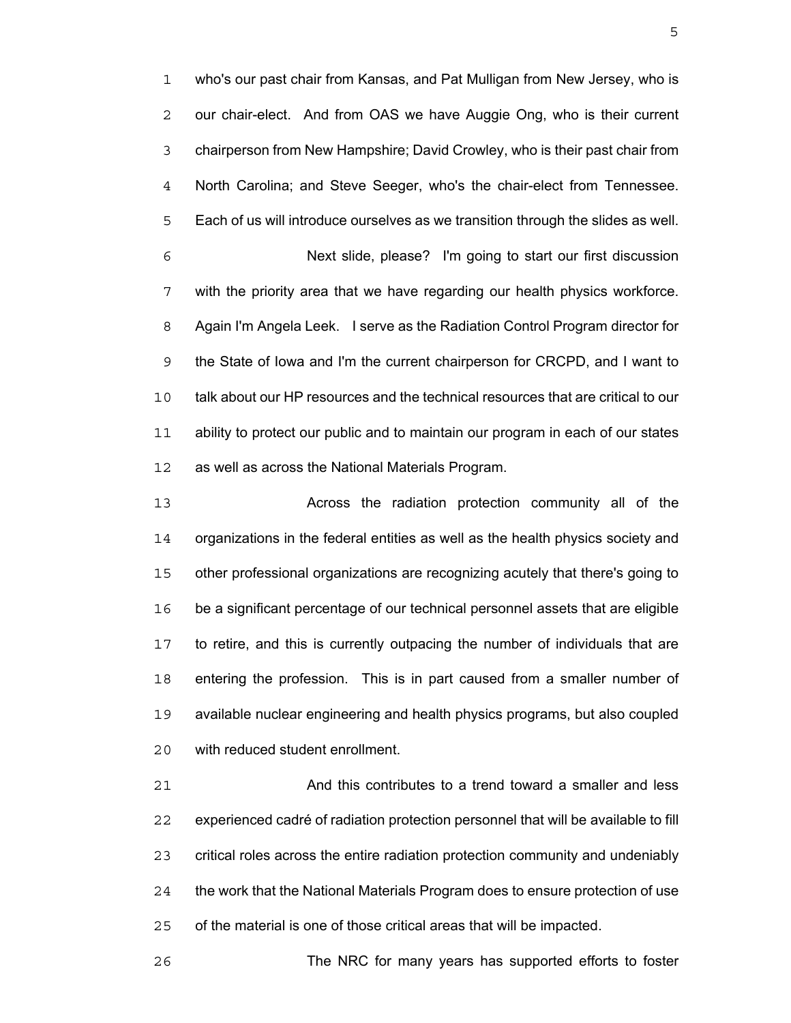who's our past chair from Kansas, and Pat Mulligan from New Jersey, who is our chair-elect. And from OAS we have Auggie Ong, who is their current chairperson from New Hampshire; David Crowley, who is their past chair from North Carolina; and Steve Seeger, who's the chair-elect from Tennessee. Each of us will introduce ourselves as we transition through the slides as well. Next slide, please? I'm going to start our first discussion with the priority area that we have regarding our health physics workforce. Again I'm Angela Leek. I serve as the Radiation Control Program director for the State of Iowa and I'm the current chairperson for CRCPD, and I want to talk about our HP resources and the technical resources that are critical to our ability to protect our public and to maintain our program in each of our states as well as across the National Materials Program.

Across the radiation protection community all of the organizations in the federal entities as well as the health physics society and other professional organizations are recognizing acutely that there's going to be a significant percentage of our technical personnel assets that are eligible to retire, and this is currently outpacing the number of individuals that are entering the profession. This is in part caused from a smaller number of available nuclear engineering and health physics programs, but also coupled with reduced student enrollment.

And this contributes to a trend toward a smaller and less experienced cadré of radiation protection personnel that will be available to fill critical roles across the entire radiation protection community and undeniably the work that the National Materials Program does to ensure protection of use of the material is one of those critical areas that will be impacted.

The NRC for many years has supported efforts to foster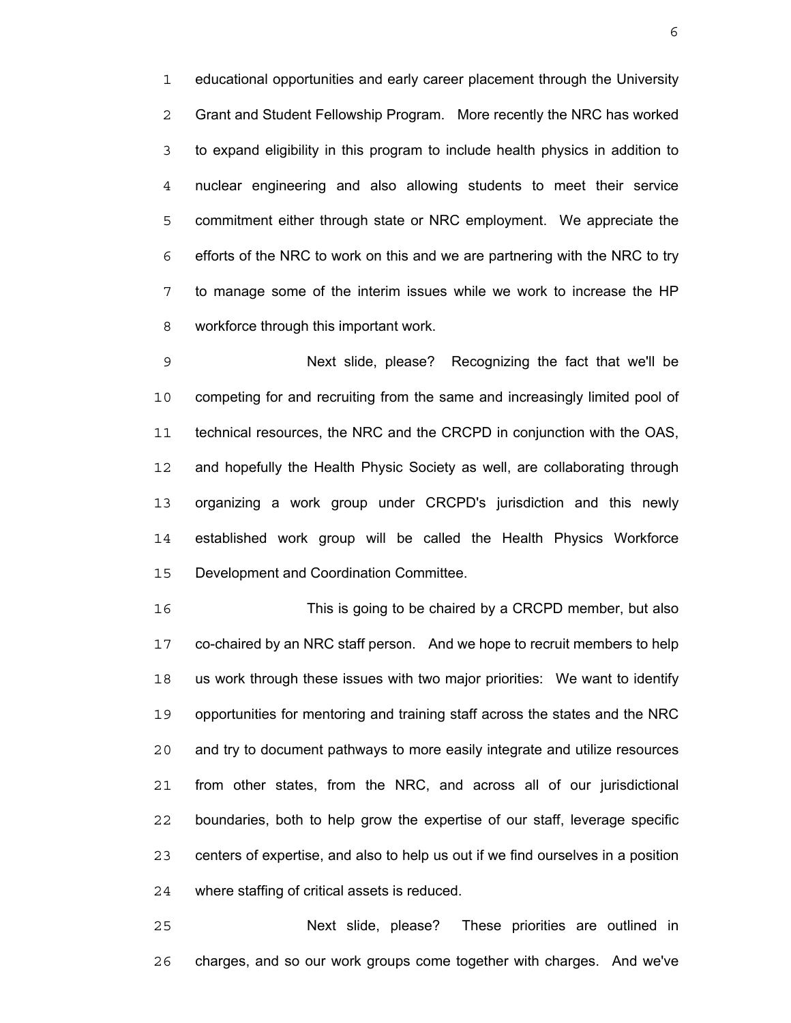educational opportunities and early career placement through the University Grant and Student Fellowship Program. More recently the NRC has worked to expand eligibility in this program to include health physics in addition to nuclear engineering and also allowing students to meet their service commitment either through state or NRC employment. We appreciate the efforts of the NRC to work on this and we are partnering with the NRC to try to manage some of the interim issues while we work to increase the HP workforce through this important work.

Next slide, please? Recognizing the fact that we'll be competing for and recruiting from the same and increasingly limited pool of technical resources, the NRC and the CRCPD in conjunction with the OAS, and hopefully the Health Physic Society as well, are collaborating through organizing a work group under CRCPD's jurisdiction and this newly established work group will be called the Health Physics Workforce Development and Coordination Committee.

This is going to be chaired by a CRCPD member, but also co-chaired by an NRC staff person. And we hope to recruit members to help us work through these issues with two major priorities: We want to identify opportunities for mentoring and training staff across the states and the NRC and try to document pathways to more easily integrate and utilize resources from other states, from the NRC, and across all of our jurisdictional boundaries, both to help grow the expertise of our staff, leverage specific centers of expertise, and also to help us out if we find ourselves in a position where staffing of critical assets is reduced.

Next slide, please? These priorities are outlined in charges, and so our work groups come together with charges. And we've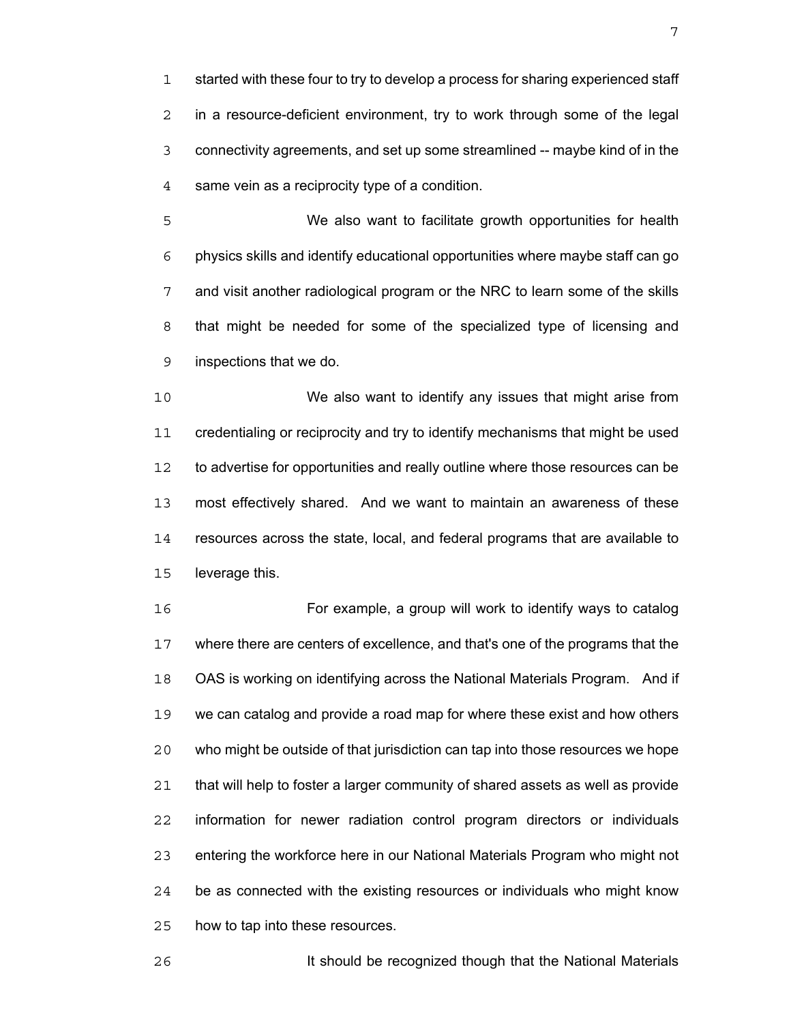started with these four to try to develop a process for sharing experienced staff in a resource-deficient environment, try to work through some of the legal connectivity agreements, and set up some streamlined -- maybe kind of in the same vein as a reciprocity type of a condition.

We also want to facilitate growth opportunities for health physics skills and identify educational opportunities where maybe staff can go and visit another radiological program or the NRC to learn some of the skills that might be needed for some of the specialized type of licensing and inspections that we do.

We also want to identify any issues that might arise from credentialing or reciprocity and try to identify mechanisms that might be used to advertise for opportunities and really outline where those resources can be most effectively shared. And we want to maintain an awareness of these resources across the state, local, and federal programs that are available to leverage this.

For example, a group will work to identify ways to catalog where there are centers of excellence, and that's one of the programs that the OAS is working on identifying across the National Materials Program. And if we can catalog and provide a road map for where these exist and how others who might be outside of that jurisdiction can tap into those resources we hope that will help to foster a larger community of shared assets as well as provide information for newer radiation control program directors or individuals entering the workforce here in our National Materials Program who might not be as connected with the existing resources or individuals who might know how to tap into these resources.

It should be recognized though that the National Materials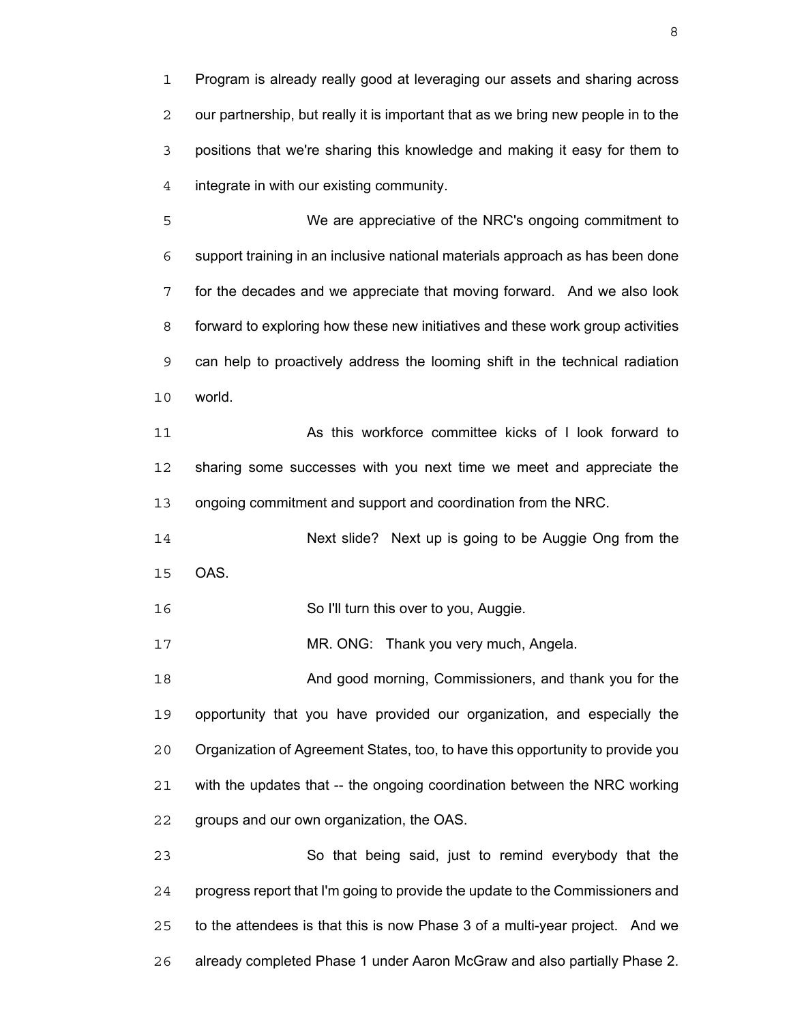Program is already really good at leveraging our assets and sharing across our partnership, but really it is important that as we bring new people in to the positions that we're sharing this knowledge and making it easy for them to integrate in with our existing community.

We are appreciative of the NRC's ongoing commitment to support training in an inclusive national materials approach as has been done for the decades and we appreciate that moving forward. And we also look forward to exploring how these new initiatives and these work group activities can help to proactively address the looming shift in the technical radiation world.

11 As this workforce committee kicks of I look forward to sharing some successes with you next time we meet and appreciate the ongoing commitment and support and coordination from the NRC.

Next slide? Next up is going to be Auggie Ong from the OAS.

So I'll turn this over to you, Auggie.

MR. ONG: Thank you very much, Angela.

And good morning, Commissioners, and thank you for the opportunity that you have provided our organization, and especially the Organization of Agreement States, too, to have this opportunity to provide you with the updates that -- the ongoing coordination between the NRC working groups and our own organization, the OAS.

So that being said, just to remind everybody that the progress report that I'm going to provide the update to the Commissioners and to the attendees is that this is now Phase 3 of a multi-year project. And we already completed Phase 1 under Aaron McGraw and also partially Phase 2.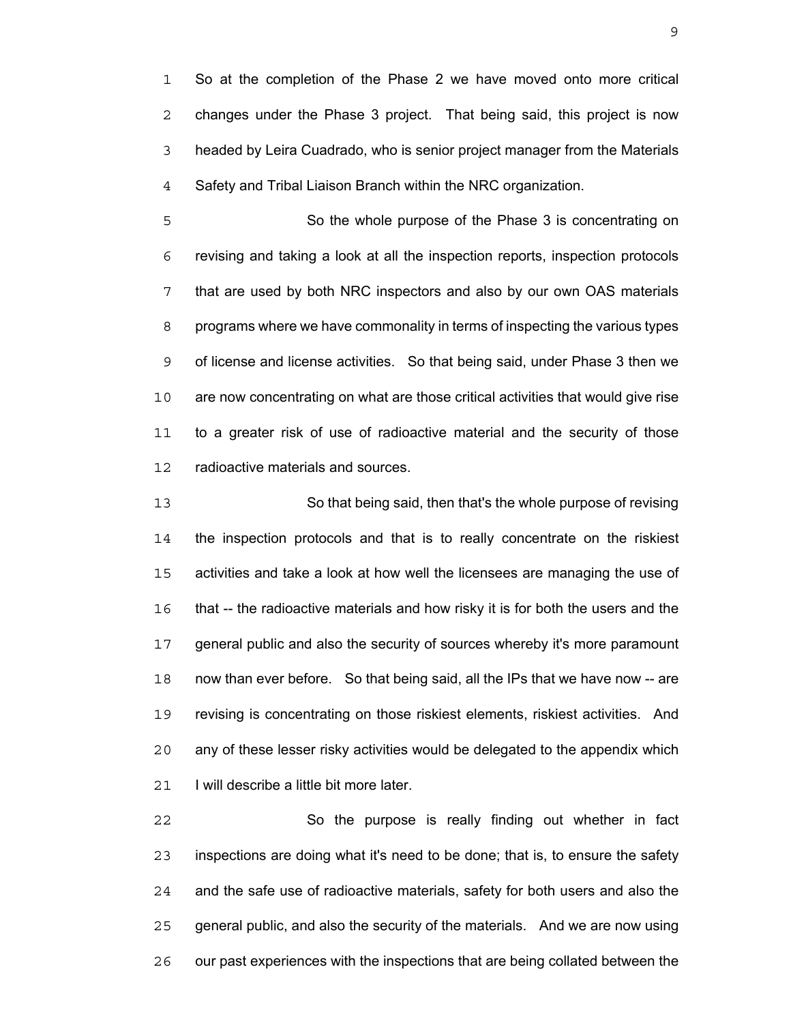So at the completion of the Phase 2 we have moved onto more critical changes under the Phase 3 project. That being said, this project is now headed by Leira Cuadrado, who is senior project manager from the Materials Safety and Tribal Liaison Branch within the NRC organization.

So the whole purpose of the Phase 3 is concentrating on revising and taking a look at all the inspection reports, inspection protocols that are used by both NRC inspectors and also by our own OAS materials programs where we have commonality in terms of inspecting the various types of license and license activities. So that being said, under Phase 3 then we are now concentrating on what are those critical activities that would give rise to a greater risk of use of radioactive material and the security of those radioactive materials and sources.

So that being said, then that's the whole purpose of revising the inspection protocols and that is to really concentrate on the riskiest activities and take a look at how well the licensees are managing the use of that -- the radioactive materials and how risky it is for both the users and the general public and also the security of sources whereby it's more paramount now than ever before. So that being said, all the IPs that we have now -- are revising is concentrating on those riskiest elements, riskiest activities. And any of these lesser risky activities would be delegated to the appendix which 21 I will describe a little bit more later.

So the purpose is really finding out whether in fact inspections are doing what it's need to be done; that is, to ensure the safety and the safe use of radioactive materials, safety for both users and also the general public, and also the security of the materials. And we are now using our past experiences with the inspections that are being collated between the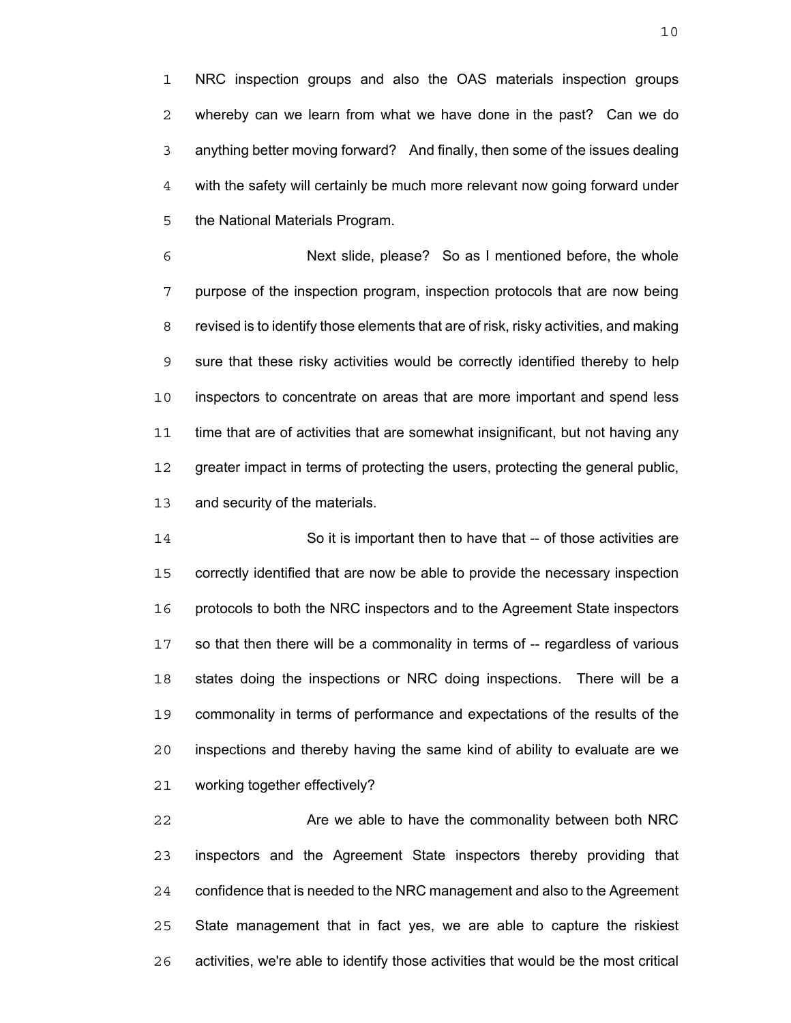NRC inspection groups and also the OAS materials inspection groups whereby can we learn from what we have done in the past? Can we do anything better moving forward? And finally, then some of the issues dealing with the safety will certainly be much more relevant now going forward under the National Materials Program.

Next slide, please? So as I mentioned before, the whole purpose of the inspection program, inspection protocols that are now being revised is to identify those elements that are of risk, risky activities, and making sure that these risky activities would be correctly identified thereby to help inspectors to concentrate on areas that are more important and spend less time that are of activities that are somewhat insignificant, but not having any greater impact in terms of protecting the users, protecting the general public, and security of the materials.

14 So it is important then to have that -- of those activities are correctly identified that are now be able to provide the necessary inspection protocols to both the NRC inspectors and to the Agreement State inspectors so that then there will be a commonality in terms of -- regardless of various states doing the inspections or NRC doing inspections. There will be a commonality in terms of performance and expectations of the results of the inspections and thereby having the same kind of ability to evaluate are we working together effectively?

**Are we able to have the commonality between both NRC** inspectors and the Agreement State inspectors thereby providing that confidence that is needed to the NRC management and also to the Agreement State management that in fact yes, we are able to capture the riskiest activities, we're able to identify those activities that would be the most critical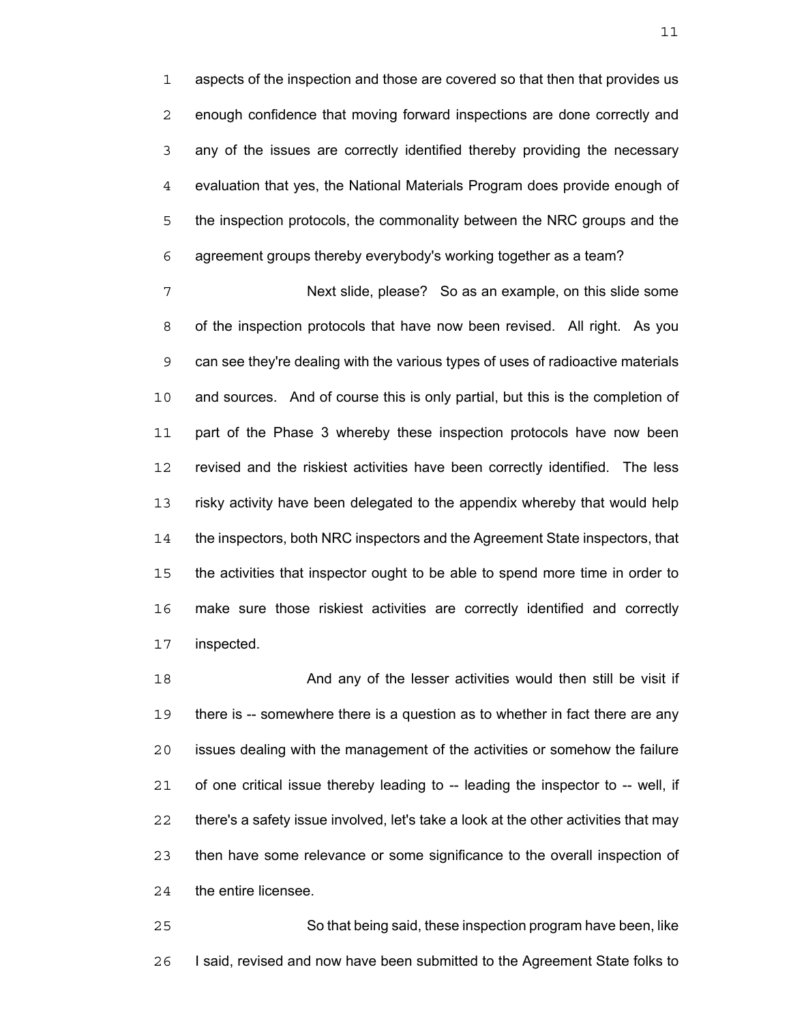aspects of the inspection and those are covered so that then that provides us enough confidence that moving forward inspections are done correctly and any of the issues are correctly identified thereby providing the necessary evaluation that yes, the National Materials Program does provide enough of the inspection protocols, the commonality between the NRC groups and the agreement groups thereby everybody's working together as a team?

Next slide, please? So as an example, on this slide some of the inspection protocols that have now been revised. All right. As you can see they're dealing with the various types of uses of radioactive materials and sources. And of course this is only partial, but this is the completion of part of the Phase 3 whereby these inspection protocols have now been revised and the riskiest activities have been correctly identified. The less risky activity have been delegated to the appendix whereby that would help the inspectors, both NRC inspectors and the Agreement State inspectors, that the activities that inspector ought to be able to spend more time in order to make sure those riskiest activities are correctly identified and correctly inspected.

And any of the lesser activities would then still be visit if there is -- somewhere there is a question as to whether in fact there are any issues dealing with the management of the activities or somehow the failure of one critical issue thereby leading to -- leading the inspector to -- well, if there's a safety issue involved, let's take a look at the other activities that may then have some relevance or some significance to the overall inspection of the entire licensee.

So that being said, these inspection program have been, like I said, revised and now have been submitted to the Agreement State folks to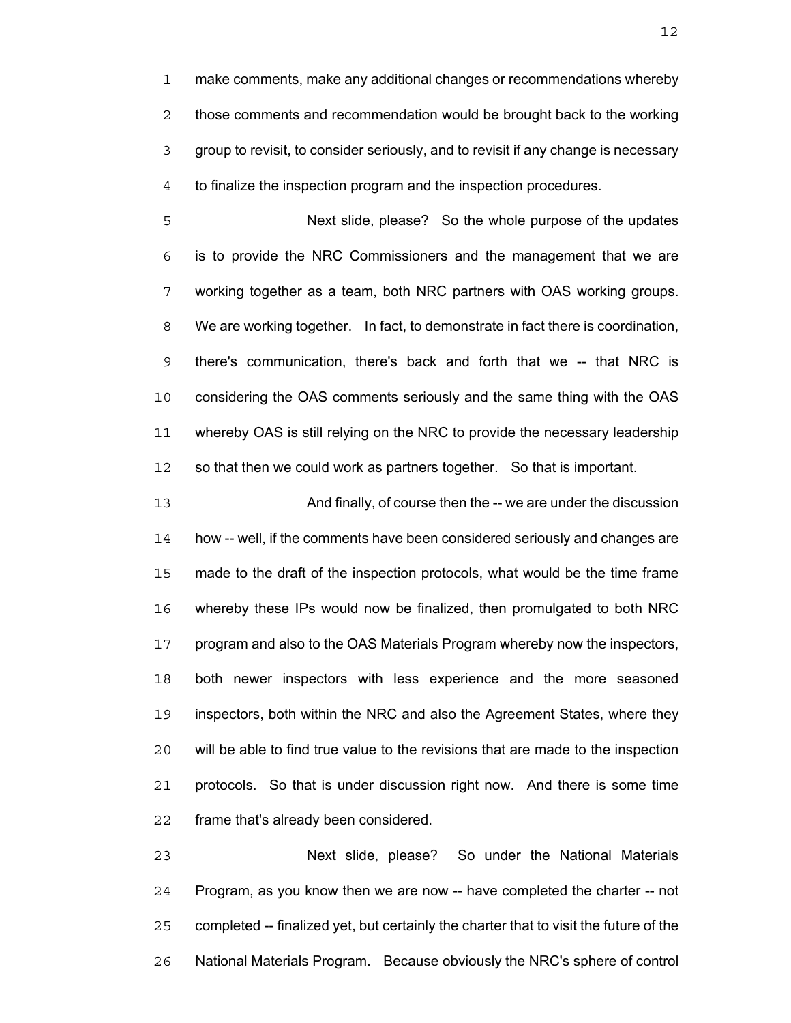make comments, make any additional changes or recommendations whereby those comments and recommendation would be brought back to the working group to revisit, to consider seriously, and to revisit if any change is necessary to finalize the inspection program and the inspection procedures.

Next slide, please? So the whole purpose of the updates is to provide the NRC Commissioners and the management that we are working together as a team, both NRC partners with OAS working groups. We are working together. In fact, to demonstrate in fact there is coordination, there's communication, there's back and forth that we -- that NRC is considering the OAS comments seriously and the same thing with the OAS whereby OAS is still relying on the NRC to provide the necessary leadership so that then we could work as partners together. So that is important.

And finally, of course then the -- we are under the discussion how -- well, if the comments have been considered seriously and changes are made to the draft of the inspection protocols, what would be the time frame whereby these IPs would now be finalized, then promulgated to both NRC program and also to the OAS Materials Program whereby now the inspectors, both newer inspectors with less experience and the more seasoned inspectors, both within the NRC and also the Agreement States, where they will be able to find true value to the revisions that are made to the inspection protocols. So that is under discussion right now. And there is some time frame that's already been considered.

Next slide, please? So under the National Materials Program, as you know then we are now -- have completed the charter -- not completed -- finalized yet, but certainly the charter that to visit the future of the National Materials Program. Because obviously the NRC's sphere of control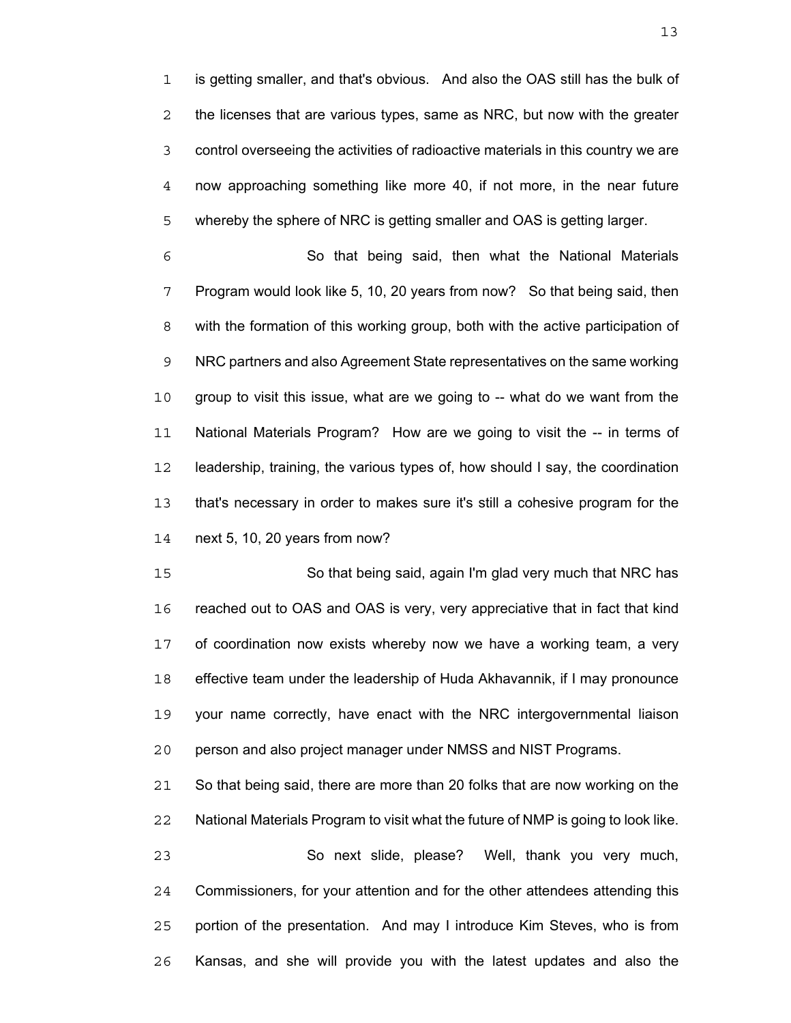is getting smaller, and that's obvious. And also the OAS still has the bulk of the licenses that are various types, same as NRC, but now with the greater control overseeing the activities of radioactive materials in this country we are now approaching something like more 40, if not more, in the near future whereby the sphere of NRC is getting smaller and OAS is getting larger.

So that being said, then what the National Materials Program would look like 5, 10, 20 years from now? So that being said, then with the formation of this working group, both with the active participation of NRC partners and also Agreement State representatives on the same working group to visit this issue, what are we going to -- what do we want from the National Materials Program? How are we going to visit the -- in terms of leadership, training, the various types of, how should I say, the coordination that's necessary in order to makes sure it's still a cohesive program for the next 5, 10, 20 years from now?

So that being said, again I'm glad very much that NRC has reached out to OAS and OAS is very, very appreciative that in fact that kind of coordination now exists whereby now we have a working team, a very effective team under the leadership of Huda Akhavannik, if I may pronounce your name correctly, have enact with the NRC intergovernmental liaison person and also project manager under NMSS and NIST Programs.

So that being said, there are more than 20 folks that are now working on the National Materials Program to visit what the future of NMP is going to look like.

So next slide, please? Well, thank you very much, Commissioners, for your attention and for the other attendees attending this portion of the presentation. And may I introduce Kim Steves, who is from Kansas, and she will provide you with the latest updates and also the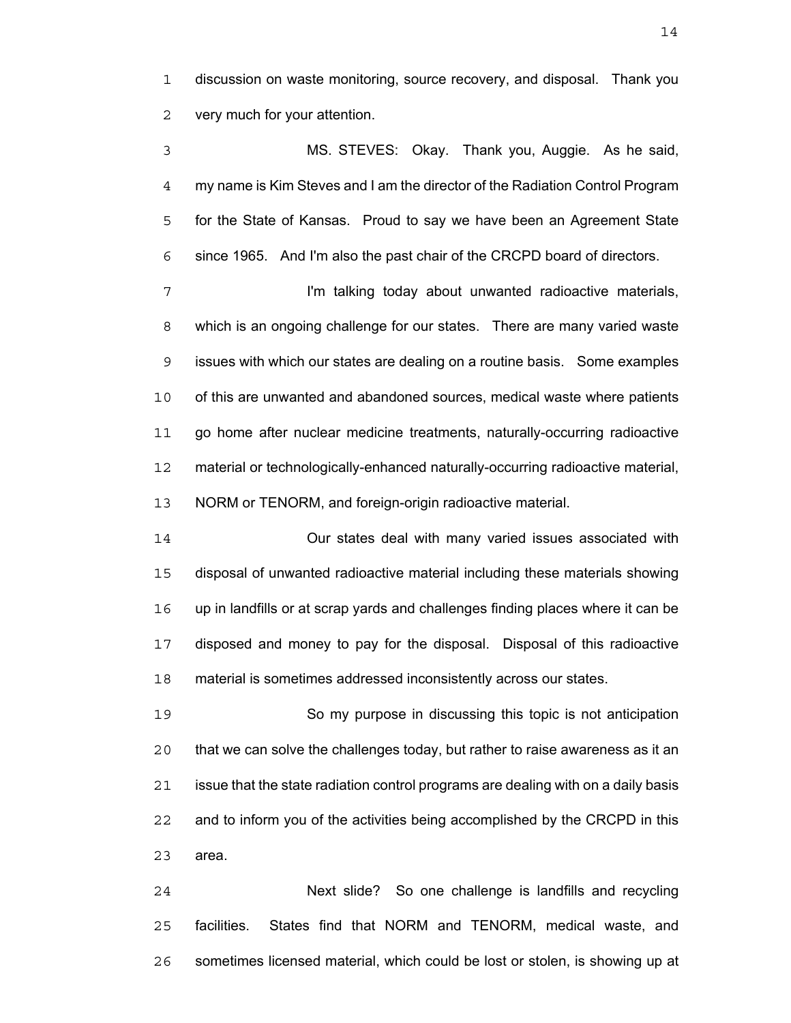discussion on waste monitoring, source recovery, and disposal. Thank you very much for your attention.

MS. STEVES: Okay. Thank you, Auggie. As he said, my name is Kim Steves and I am the director of the Radiation Control Program for the State of Kansas. Proud to say we have been an Agreement State since 1965. And I'm also the past chair of the CRCPD board of directors.

7 I'm talking today about unwanted radioactive materials, which is an ongoing challenge for our states. There are many varied waste issues with which our states are dealing on a routine basis. Some examples of this are unwanted and abandoned sources, medical waste where patients go home after nuclear medicine treatments, naturally-occurring radioactive material or technologically-enhanced naturally-occurring radioactive material, NORM or TENORM, and foreign-origin radioactive material.

Our states deal with many varied issues associated with disposal of unwanted radioactive material including these materials showing up in landfills or at scrap yards and challenges finding places where it can be disposed and money to pay for the disposal. Disposal of this radioactive material is sometimes addressed inconsistently across our states.

So my purpose in discussing this topic is not anticipation that we can solve the challenges today, but rather to raise awareness as it an issue that the state radiation control programs are dealing with on a daily basis and to inform you of the activities being accomplished by the CRCPD in this area.

Next slide? So one challenge is landfills and recycling facilities. States find that NORM and TENORM, medical waste, and sometimes licensed material, which could be lost or stolen, is showing up at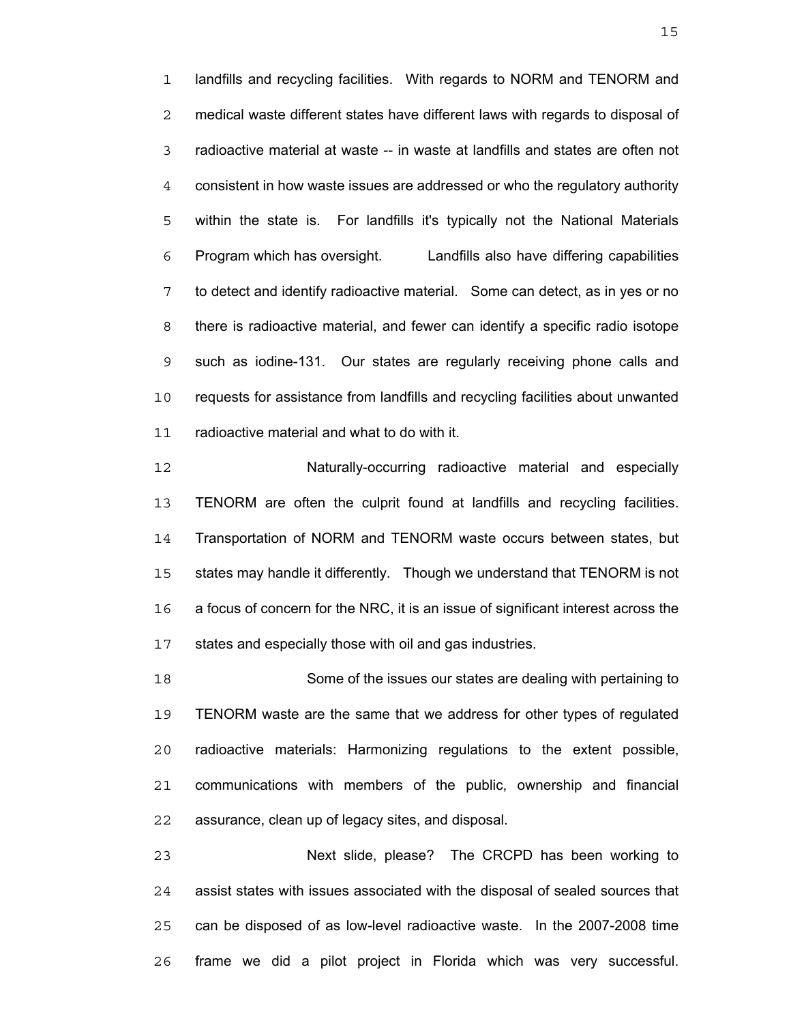landfills and recycling facilities. With regards to NORM and TENORM and medical waste different states have different laws with regards to disposal of radioactive material at waste -- in waste at landfills and states are often not consistent in how waste issues are addressed or who the regulatory authority within the state is. For landfills it's typically not the National Materials Program which has oversight. Landfills also have differing capabilities to detect and identify radioactive material. Some can detect, as in yes or no there is radioactive material, and fewer can identify a specific radio isotope such as iodine-131. Our states are regularly receiving phone calls and requests for assistance from landfills and recycling facilities about unwanted radioactive material and what to do with it.

Naturally-occurring radioactive material and especially TENORM are often the culprit found at landfills and recycling facilities. Transportation of NORM and TENORM waste occurs between states, but states may handle it differently. Though we understand that TENORM is not a focus of concern for the NRC, it is an issue of significant interest across the states and especially those with oil and gas industries.

Some of the issues our states are dealing with pertaining to TENORM waste are the same that we address for other types of regulated radioactive materials: Harmonizing regulations to the extent possible, communications with members of the public, ownership and financial assurance, clean up of legacy sites, and disposal.

Next slide, please? The CRCPD has been working to assist states with issues associated with the disposal of sealed sources that can be disposed of as low-level radioactive waste. In the 2007-2008 time frame we did a pilot project in Florida which was very successful.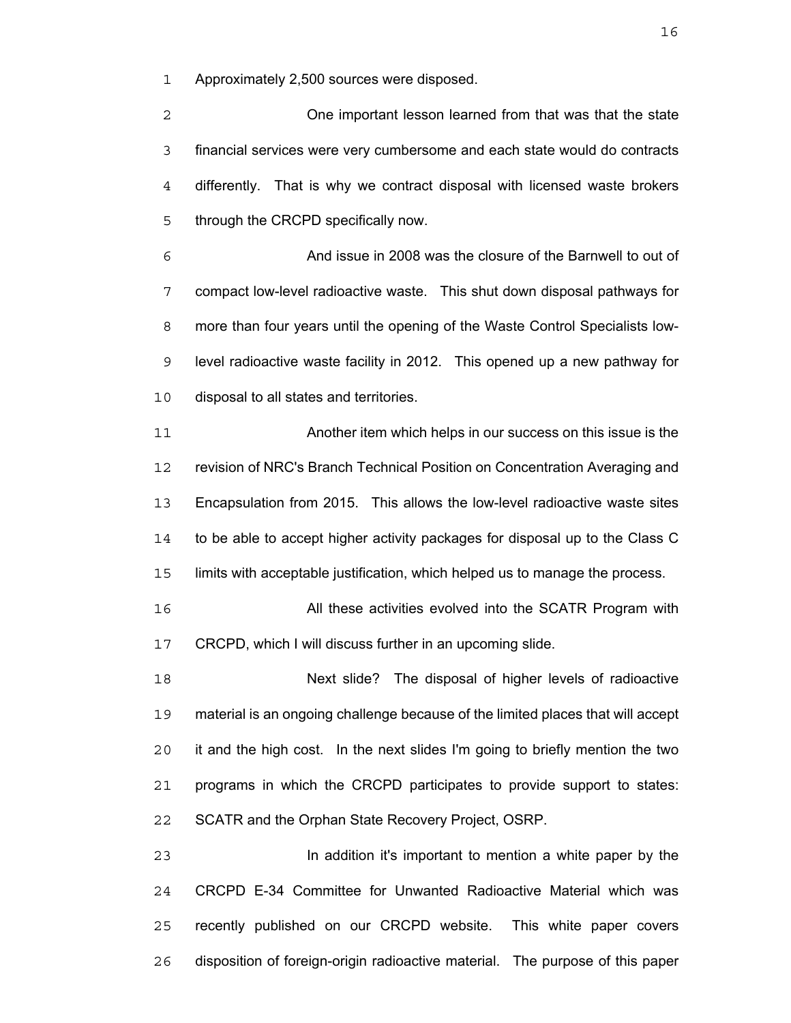Approximately 2,500 sources were disposed.

One important lesson learned from that was that the state financial services were very cumbersome and each state would do contracts differently. That is why we contract disposal with licensed waste brokers through the CRCPD specifically now.

And issue in 2008 was the closure of the Barnwell to out of compact low-level radioactive waste. This shut down disposal pathways for more than four years until the opening of the Waste Control Specialists low-level radioactive waste facility in 2012. This opened up a new pathway for disposal to all states and territories.

Another item which helps in our success on this issue is the revision of NRC's Branch Technical Position on Concentration Averaging and Encapsulation from 2015. This allows the low-level radioactive waste sites to be able to accept higher activity packages for disposal up to the Class C limits with acceptable justification, which helped us to manage the process.

All these activities evolved into the SCATR Program with CRCPD, which I will discuss further in an upcoming slide.

Next slide? The disposal of higher levels of radioactive material is an ongoing challenge because of the limited places that will accept it and the high cost. In the next slides I'm going to briefly mention the two programs in which the CRCPD participates to provide support to states: SCATR and the Orphan State Recovery Project, OSRP.

In addition it's important to mention a white paper by the CRCPD E-34 Committee for Unwanted Radioactive Material which was recently published on our CRCPD website. This white paper covers disposition of foreign-origin radioactive material. The purpose of this paper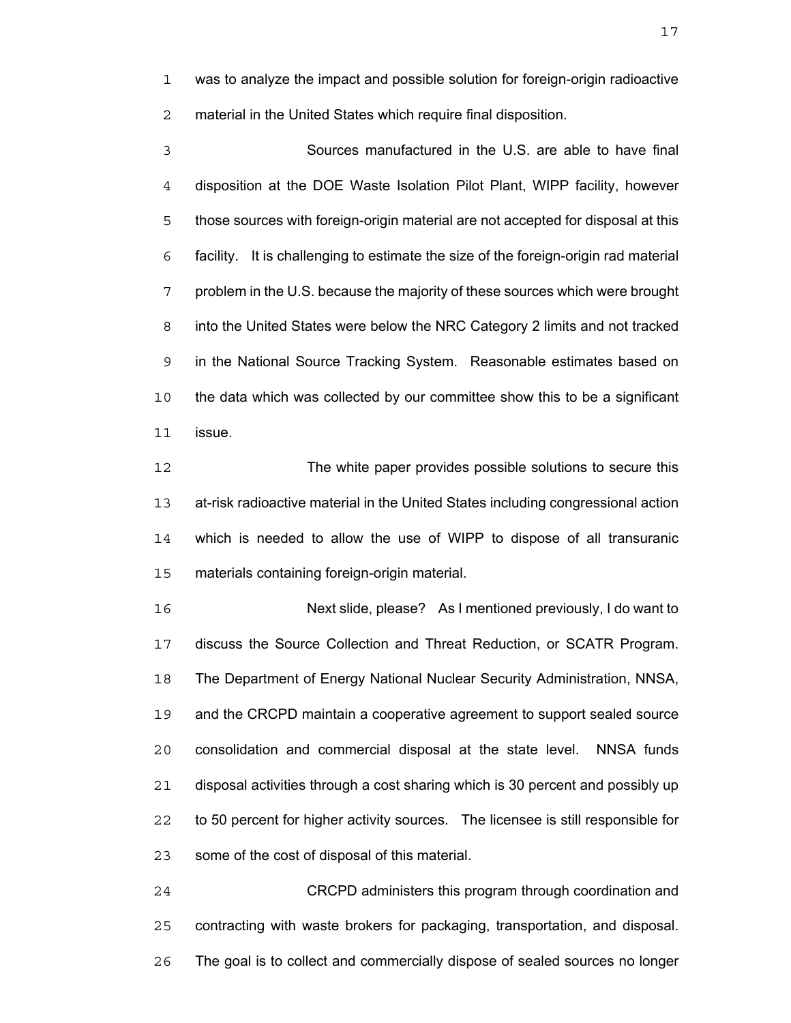was to analyze the impact and possible solution for foreign-origin radioactive material in the United States which require final disposition.

Sources manufactured in the U.S. are able to have final disposition at the DOE Waste Isolation Pilot Plant, WIPP facility, however those sources with foreign-origin material are not accepted for disposal at this facility. It is challenging to estimate the size of the foreign-origin rad material problem in the U.S. because the majority of these sources which were brought into the United States were below the NRC Category 2 limits and not tracked in the National Source Tracking System. Reasonable estimates based on the data which was collected by our committee show this to be a significant issue.

The white paper provides possible solutions to secure this at-risk radioactive material in the United States including congressional action which is needed to allow the use of WIPP to dispose of all transuranic materials containing foreign-origin material.

Next slide, please? As I mentioned previously, I do want to discuss the Source Collection and Threat Reduction, or SCATR Program. The Department of Energy National Nuclear Security Administration, NNSA, and the CRCPD maintain a cooperative agreement to support sealed source consolidation and commercial disposal at the state level. NNSA funds disposal activities through a cost sharing which is 30 percent and possibly up to 50 percent for higher activity sources. The licensee is still responsible for some of the cost of disposal of this material.

CRCPD administers this program through coordination and contracting with waste brokers for packaging, transportation, and disposal. The goal is to collect and commercially dispose of sealed sources no longer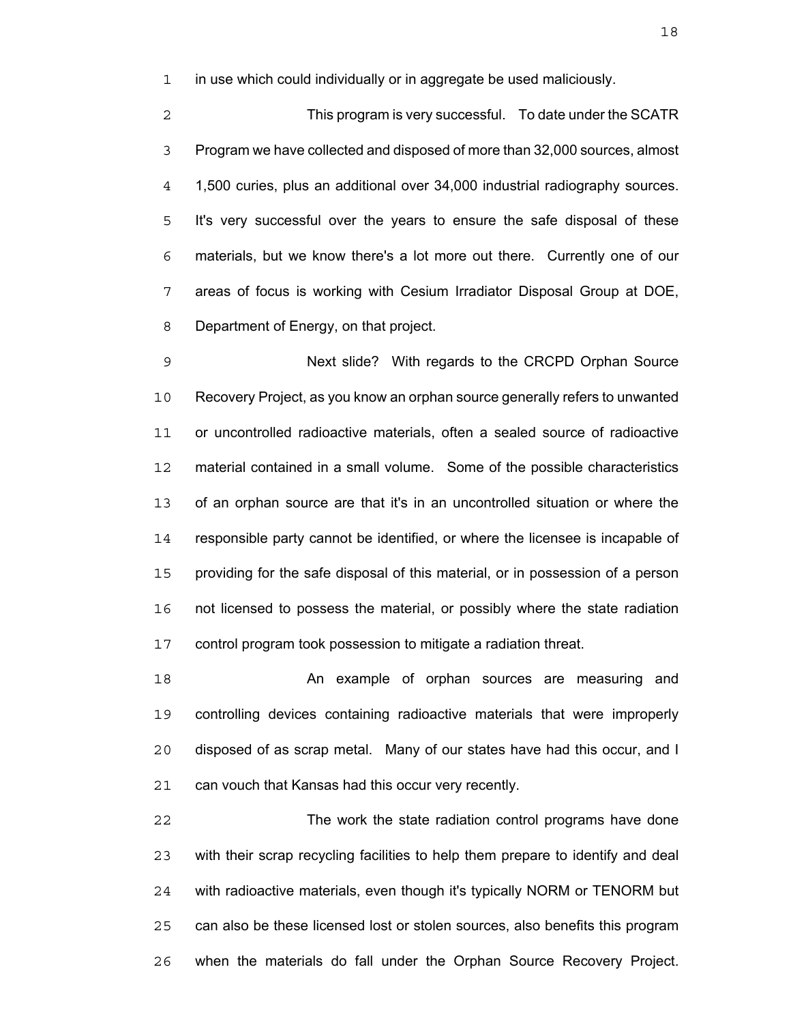in use which could individually or in aggregate be used maliciously.

This program is very successful. To date under the SCATR Program we have collected and disposed of more than 32,000 sources, almost 1,500 curies, plus an additional over 34,000 industrial radiography sources. It's very successful over the years to ensure the safe disposal of these materials, but we know there's a lot more out there. Currently one of our areas of focus is working with Cesium Irradiator Disposal Group at DOE, Department of Energy, on that project.

Next slide? With regards to the CRCPD Orphan Source Recovery Project, as you know an orphan source generally refers to unwanted or uncontrolled radioactive materials, often a sealed source of radioactive material contained in a small volume. Some of the possible characteristics of an orphan source are that it's in an uncontrolled situation or where the responsible party cannot be identified, or where the licensee is incapable of providing for the safe disposal of this material, or in possession of a person not licensed to possess the material, or possibly where the state radiation control program took possession to mitigate a radiation threat.

An example of orphan sources are measuring and controlling devices containing radioactive materials that were improperly disposed of as scrap metal. Many of our states have had this occur, and I can vouch that Kansas had this occur very recently.

The work the state radiation control programs have done with their scrap recycling facilities to help them prepare to identify and deal with radioactive materials, even though it's typically NORM or TENORM but can also be these licensed lost or stolen sources, also benefits this program when the materials do fall under the Orphan Source Recovery Project.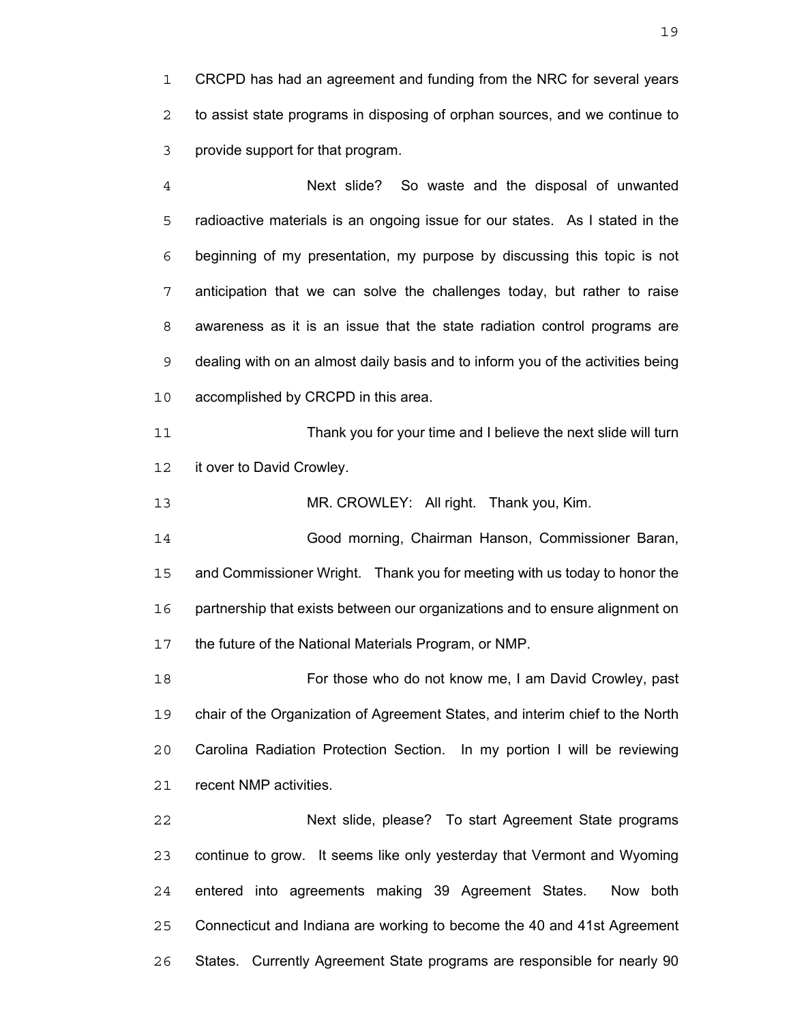CRCPD has had an agreement and funding from the NRC for several years to assist state programs in disposing of orphan sources, and we continue to provide support for that program.

Next slide? So waste and the disposal of unwanted radioactive materials is an ongoing issue for our states. As I stated in the beginning of my presentation, my purpose by discussing this topic is not anticipation that we can solve the challenges today, but rather to raise awareness as it is an issue that the state radiation control programs are dealing with on an almost daily basis and to inform you of the activities being accomplished by CRCPD in this area.

Thank you for your time and I believe the next slide will turn 12 it over to David Crowley.

MR. CROWLEY: All right. Thank you, Kim.

Good morning, Chairman Hanson, Commissioner Baran, and Commissioner Wright. Thank you for meeting with us today to honor the partnership that exists between our organizations and to ensure alignment on the future of the National Materials Program, or NMP.

For those who do not know me, I am David Crowley, past chair of the Organization of Agreement States, and interim chief to the North Carolina Radiation Protection Section. In my portion I will be reviewing recent NMP activities.

Next slide, please? To start Agreement State programs continue to grow. It seems like only yesterday that Vermont and Wyoming entered into agreements making 39 Agreement States. Now both Connecticut and Indiana are working to become the 40 and 41st Agreement States. Currently Agreement State programs are responsible for nearly 90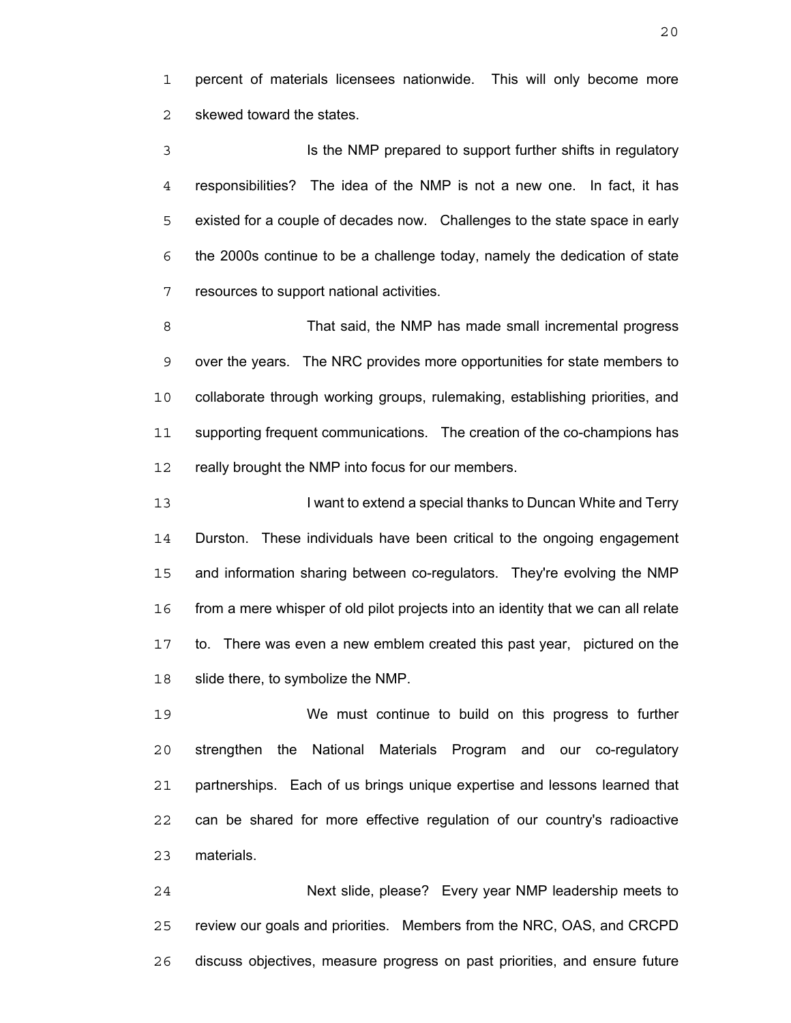percent of materials licensees nationwide. This will only become more skewed toward the states.

Is the NMP prepared to support further shifts in regulatory responsibilities? The idea of the NMP is not a new one. In fact, it has existed for a couple of decades now. Challenges to the state space in early the 2000s continue to be a challenge today, namely the dedication of state resources to support national activities.

That said, the NMP has made small incremental progress over the years. The NRC provides more opportunities for state members to collaborate through working groups, rulemaking, establishing priorities, and supporting frequent communications. The creation of the co-champions has 12 really brought the NMP into focus for our members.

**I ke I want to extend a special thanks to Duncan White and Terry** Durston. These individuals have been critical to the ongoing engagement and information sharing between co-regulators. They're evolving the NMP from a mere whisper of old pilot projects into an identity that we can all relate to. There was even a new emblem created this past year, pictured on the slide there, to symbolize the NMP.

We must continue to build on this progress to further strengthen the National Materials Program and our co-regulatory partnerships. Each of us brings unique expertise and lessons learned that can be shared for more effective regulation of our country's radioactive materials.

Next slide, please? Every year NMP leadership meets to review our goals and priorities. Members from the NRC, OAS, and CRCPD discuss objectives, measure progress on past priorities, and ensure future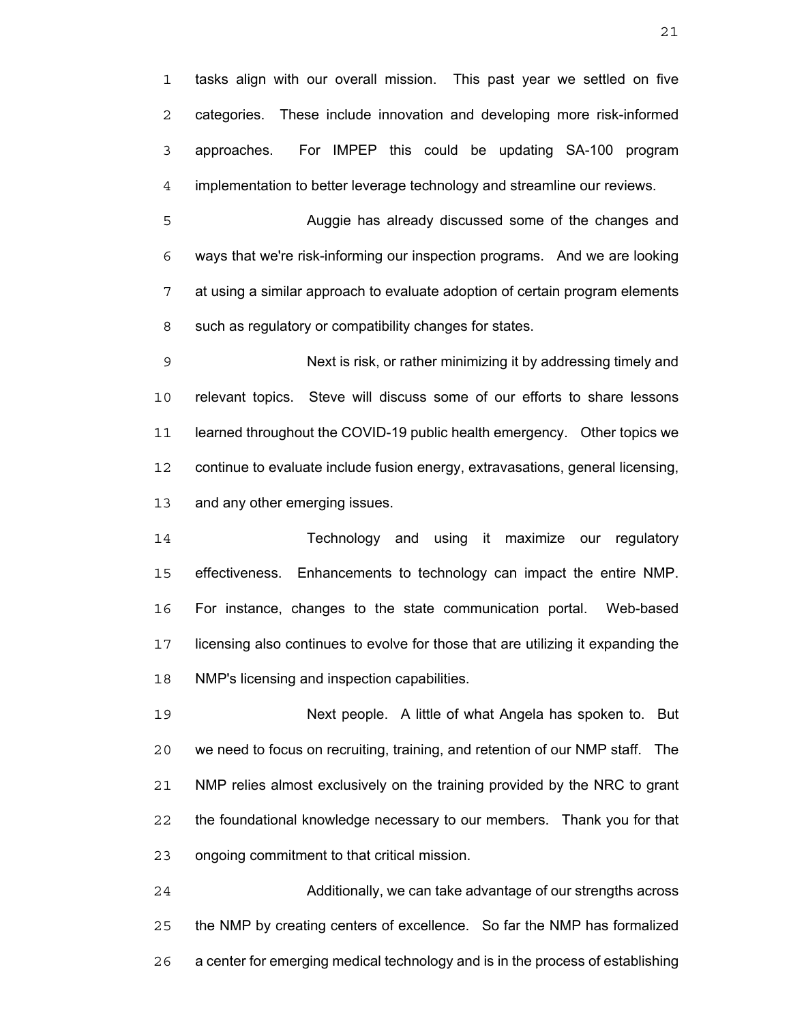tasks align with our overall mission. This past year we settled on five categories. These include innovation and developing more risk-informed approaches. For IMPEP this could be updating SA-100 program implementation to better leverage technology and streamline our reviews.

Auggie has already discussed some of the changes and ways that we're risk-informing our inspection programs. And we are looking at using a similar approach to evaluate adoption of certain program elements such as regulatory or compatibility changes for states.

Next is risk, or rather minimizing it by addressing timely and relevant topics. Steve will discuss some of our efforts to share lessons learned throughout the COVID-19 public health emergency. Other topics we continue to evaluate include fusion energy, extravasations, general licensing, and any other emerging issues.

Technology and using it maximize our regulatory effectiveness. Enhancements to technology can impact the entire NMP. For instance, changes to the state communication portal. Web-based licensing also continues to evolve for those that are utilizing it expanding the NMP's licensing and inspection capabilities.

Next people. A little of what Angela has spoken to. But we need to focus on recruiting, training, and retention of our NMP staff. The NMP relies almost exclusively on the training provided by the NRC to grant the foundational knowledge necessary to our members. Thank you for that ongoing commitment to that critical mission.

Additionally, we can take advantage of our strengths across the NMP by creating centers of excellence. So far the NMP has formalized a center for emerging medical technology and is in the process of establishing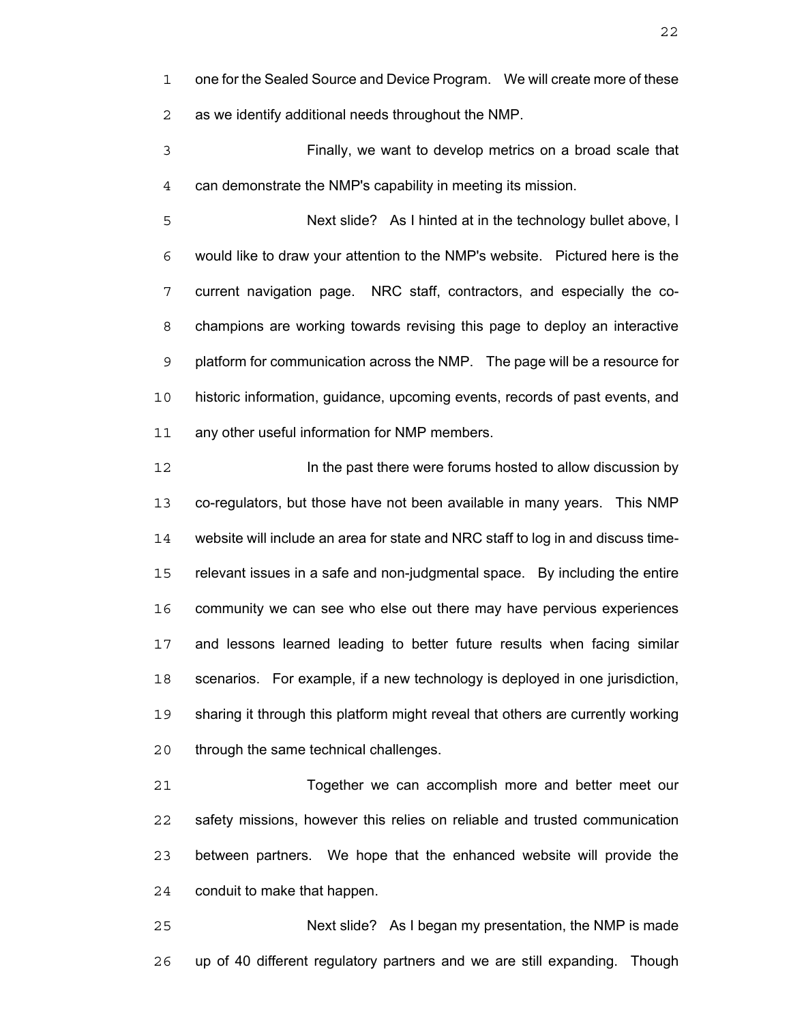one for the Sealed Source and Device Program. We will create more of these as we identify additional needs throughout the NMP.

Finally, we want to develop metrics on a broad scale that can demonstrate the NMP's capability in meeting its mission.

Next slide? As I hinted at in the technology bullet above, I would like to draw your attention to the NMP's website. Pictured here is the current navigation page. NRC staff, contractors, and especially the co-champions are working towards revising this page to deploy an interactive platform for communication across the NMP. The page will be a resource for historic information, guidance, upcoming events, records of past events, and any other useful information for NMP members.

**In the past there were forums hosted to allow discussion by** co-regulators, but those have not been available in many years. This NMP website will include an area for state and NRC staff to log in and discuss time-relevant issues in a safe and non-judgmental space. By including the entire community we can see who else out there may have pervious experiences and lessons learned leading to better future results when facing similar scenarios. For example, if a new technology is deployed in one jurisdiction, sharing it through this platform might reveal that others are currently working through the same technical challenges.

Together we can accomplish more and better meet our safety missions, however this relies on reliable and trusted communication between partners. We hope that the enhanced website will provide the conduit to make that happen.

Next slide? As I began my presentation, the NMP is made up of 40 different regulatory partners and we are still expanding. Though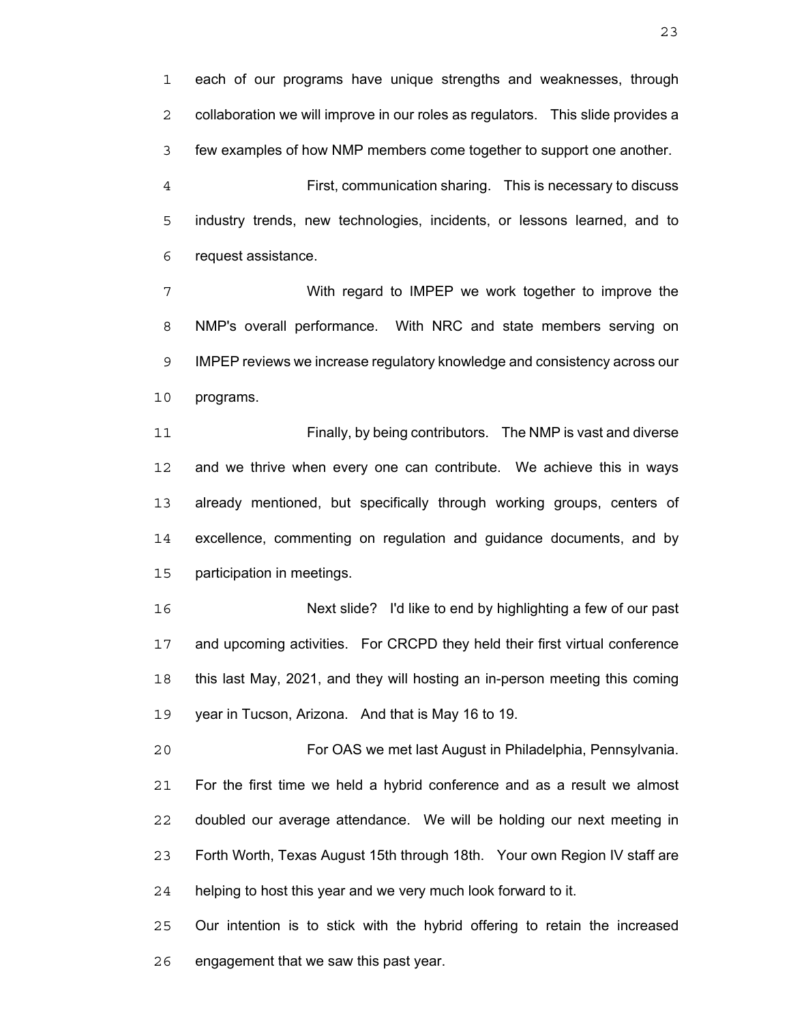each of our programs have unique strengths and weaknesses, through collaboration we will improve in our roles as regulators. This slide provides a few examples of how NMP members come together to support one another.

First, communication sharing. This is necessary to discuss industry trends, new technologies, incidents, or lessons learned, and to request assistance.

With regard to IMPEP we work together to improve the NMP's overall performance. With NRC and state members serving on IMPEP reviews we increase regulatory knowledge and consistency across our programs.

Finally, by being contributors. The NMP is vast and diverse and we thrive when every one can contribute. We achieve this in ways already mentioned, but specifically through working groups, centers of excellence, commenting on regulation and guidance documents, and by participation in meetings.

Next slide? I'd like to end by highlighting a few of our past and upcoming activities. For CRCPD they held their first virtual conference this last May, 2021, and they will hosting an in-person meeting this coming year in Tucson, Arizona. And that is May 16 to 19.

For OAS we met last August in Philadelphia, Pennsylvania. For the first time we held a hybrid conference and as a result we almost doubled our average attendance. We will be holding our next meeting in Forth Worth, Texas August 15th through 18th. Your own Region IV staff are helping to host this year and we very much look forward to it.

Our intention is to stick with the hybrid offering to retain the increased engagement that we saw this past year.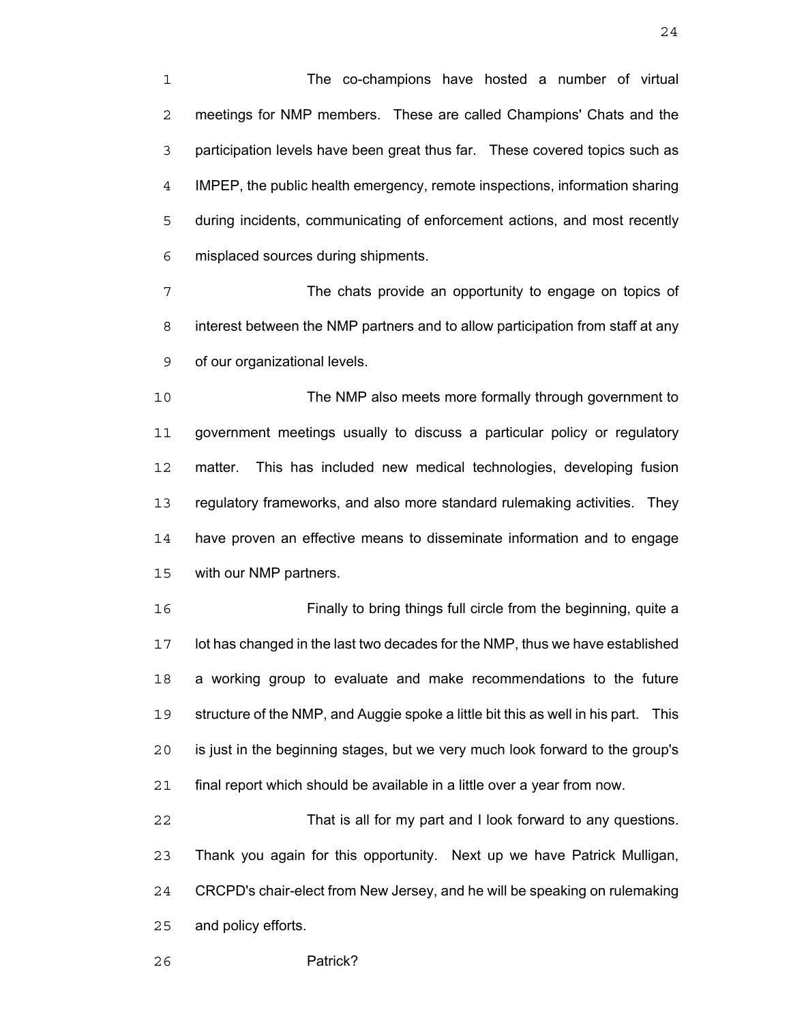The co-champions have hosted a number of virtual meetings for NMP members. These are called Champions' Chats and the participation levels have been great thus far. These covered topics such as IMPEP, the public health emergency, remote inspections, information sharing during incidents, communicating of enforcement actions, and most recently misplaced sources during shipments.

7 The chats provide an opportunity to engage on topics of interest between the NMP partners and to allow participation from staff at any of our organizational levels.

The NMP also meets more formally through government to government meetings usually to discuss a particular policy or regulatory matter. This has included new medical technologies, developing fusion regulatory frameworks, and also more standard rulemaking activities. They have proven an effective means to disseminate information and to engage with our NMP partners.

Finally to bring things full circle from the beginning, quite a lot has changed in the last two decades for the NMP, thus we have established a working group to evaluate and make recommendations to the future structure of the NMP, and Auggie spoke a little bit this as well in his part. This is just in the beginning stages, but we very much look forward to the group's final report which should be available in a little over a year from now.

That is all for my part and I look forward to any questions. Thank you again for this opportunity. Next up we have Patrick Mulligan, CRCPD's chair-elect from New Jersey, and he will be speaking on rulemaking and policy efforts.

Patrick?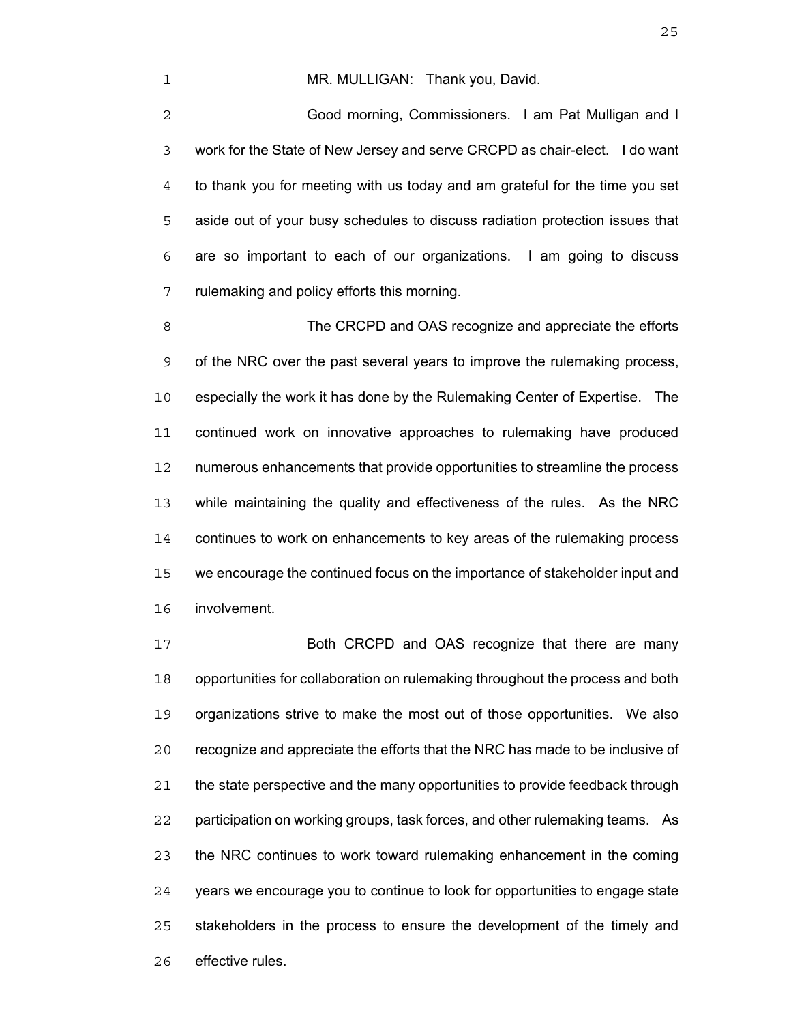#### 1 MR. MULLIGAN: Thank you, David.

Good morning, Commissioners. I am Pat Mulligan and I work for the State of New Jersey and serve CRCPD as chair-elect. I do want to thank you for meeting with us today and am grateful for the time you set aside out of your busy schedules to discuss radiation protection issues that are so important to each of our organizations. I am going to discuss rulemaking and policy efforts this morning.

8 The CRCPD and OAS recognize and appreciate the efforts of the NRC over the past several years to improve the rulemaking process, especially the work it has done by the Rulemaking Center of Expertise. The continued work on innovative approaches to rulemaking have produced numerous enhancements that provide opportunities to streamline the process while maintaining the quality and effectiveness of the rules. As the NRC continues to work on enhancements to key areas of the rulemaking process we encourage the continued focus on the importance of stakeholder input and involvement.

Both CRCPD and OAS recognize that there are many opportunities for collaboration on rulemaking throughout the process and both organizations strive to make the most out of those opportunities. We also recognize and appreciate the efforts that the NRC has made to be inclusive of the state perspective and the many opportunities to provide feedback through participation on working groups, task forces, and other rulemaking teams. As the NRC continues to work toward rulemaking enhancement in the coming years we encourage you to continue to look for opportunities to engage state stakeholders in the process to ensure the development of the timely and effective rules.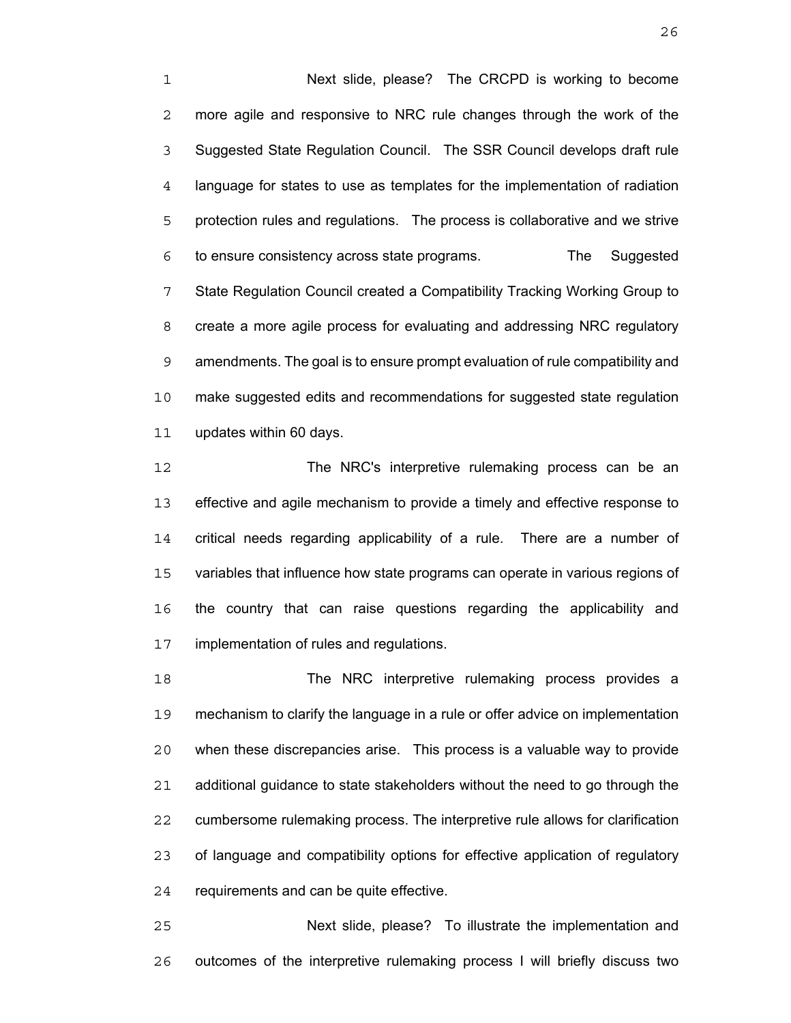Next slide, please? The CRCPD is working to become more agile and responsive to NRC rule changes through the work of the Suggested State Regulation Council. The SSR Council develops draft rule language for states to use as templates for the implementation of radiation protection rules and regulations. The process is collaborative and we strive to ensure consistency across state programs. The Suggested State Regulation Council created a Compatibility Tracking Working Group to create a more agile process for evaluating and addressing NRC regulatory amendments. The goal is to ensure prompt evaluation of rule compatibility and make suggested edits and recommendations for suggested state regulation updates within 60 days.

12 The NRC's interpretive rulemaking process can be an effective and agile mechanism to provide a timely and effective response to critical needs regarding applicability of a rule. There are a number of variables that influence how state programs can operate in various regions of the country that can raise questions regarding the applicability and implementation of rules and regulations.

The NRC interpretive rulemaking process provides a mechanism to clarify the language in a rule or offer advice on implementation when these discrepancies arise. This process is a valuable way to provide additional guidance to state stakeholders without the need to go through the cumbersome rulemaking process. The interpretive rule allows for clarification of language and compatibility options for effective application of regulatory requirements and can be quite effective.

Next slide, please? To illustrate the implementation and outcomes of the interpretive rulemaking process I will briefly discuss two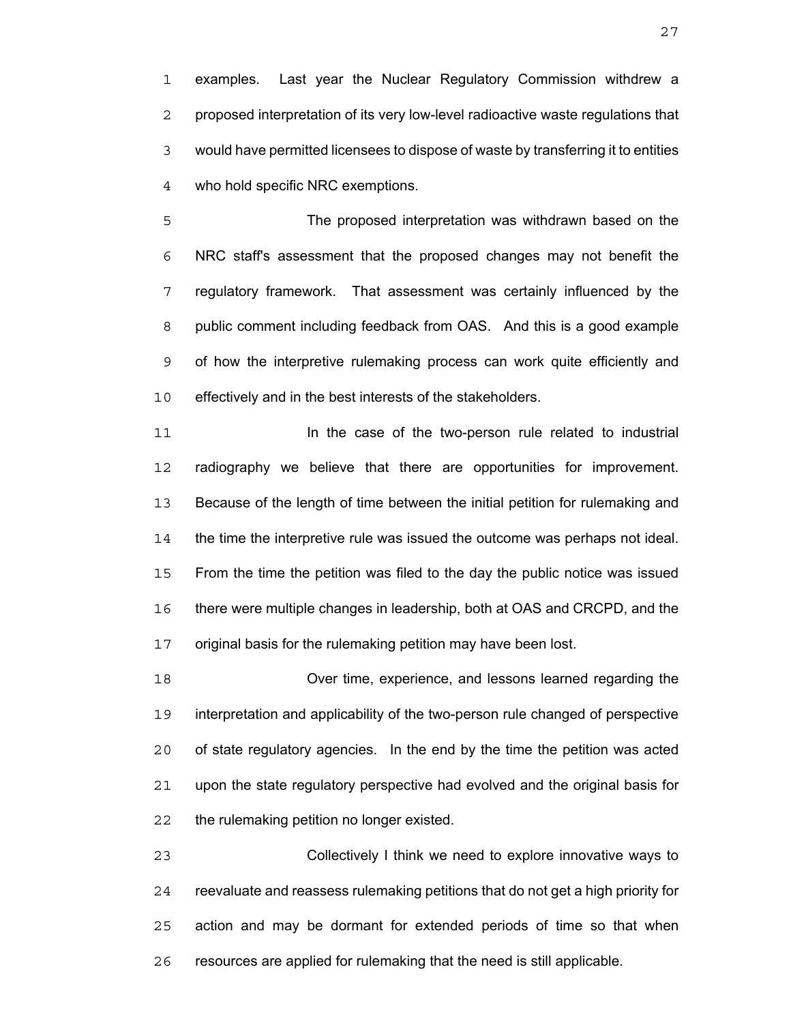examples. Last year the Nuclear Regulatory Commission withdrew a proposed interpretation of its very low-level radioactive waste regulations that would have permitted licensees to dispose of waste by transferring it to entities who hold specific NRC exemptions.

The proposed interpretation was withdrawn based on the NRC staff's assessment that the proposed changes may not benefit the regulatory framework. That assessment was certainly influenced by the public comment including feedback from OAS. And this is a good example of how the interpretive rulemaking process can work quite efficiently and effectively and in the best interests of the stakeholders.

**In the case of the two-person rule related to industrial** radiography we believe that there are opportunities for improvement. Because of the length of time between the initial petition for rulemaking and the time the interpretive rule was issued the outcome was perhaps not ideal. From the time the petition was filed to the day the public notice was issued there were multiple changes in leadership, both at OAS and CRCPD, and the original basis for the rulemaking petition may have been lost.

Over time, experience, and lessons learned regarding the interpretation and applicability of the two-person rule changed of perspective of state regulatory agencies. In the end by the time the petition was acted upon the state regulatory perspective had evolved and the original basis for the rulemaking petition no longer existed.

Collectively I think we need to explore innovative ways to reevaluate and reassess rulemaking petitions that do not get a high priority for action and may be dormant for extended periods of time so that when resources are applied for rulemaking that the need is still applicable.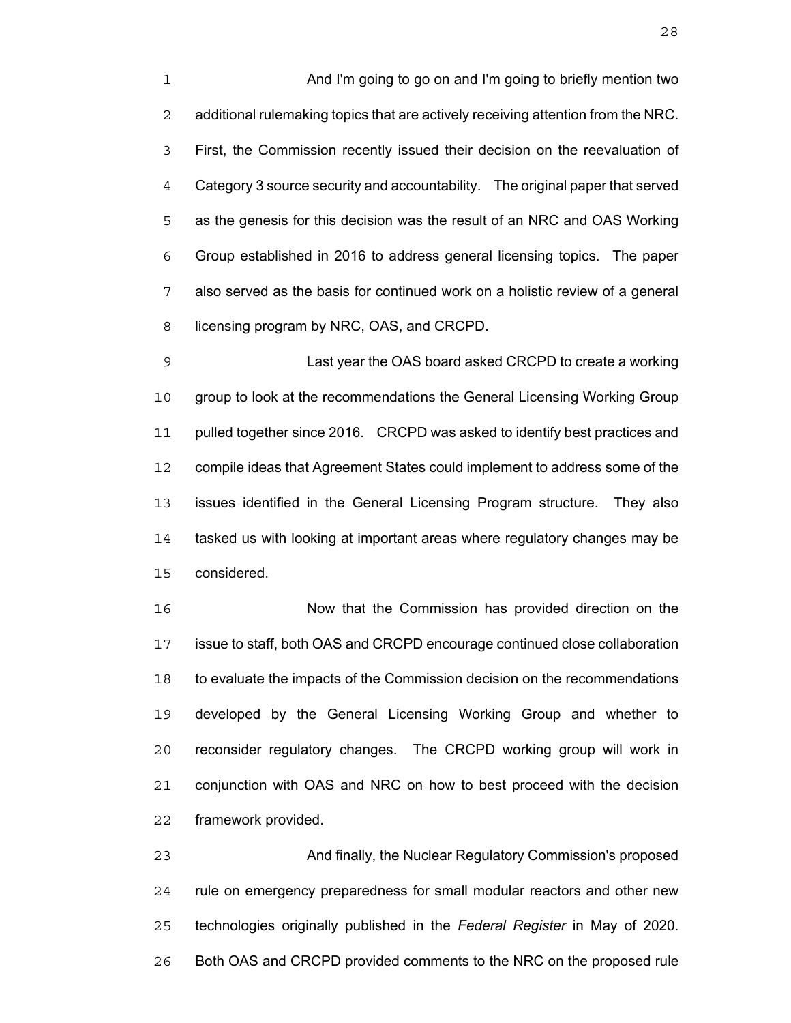And I'm going to go on and I'm going to briefly mention two additional rulemaking topics that are actively receiving attention from the NRC. First, the Commission recently issued their decision on the reevaluation of Category 3 source security and accountability. The original paper that served as the genesis for this decision was the result of an NRC and OAS Working Group established in 2016 to address general licensing topics. The paper also served as the basis for continued work on a holistic review of a general 8 licensing program by NRC, OAS, and CRCPD.

Last year the OAS board asked CRCPD to create a working group to look at the recommendations the General Licensing Working Group pulled together since 2016. CRCPD was asked to identify best practices and compile ideas that Agreement States could implement to address some of the issues identified in the General Licensing Program structure. They also tasked us with looking at important areas where regulatory changes may be considered.

Now that the Commission has provided direction on the issue to staff, both OAS and CRCPD encourage continued close collaboration to evaluate the impacts of the Commission decision on the recommendations developed by the General Licensing Working Group and whether to reconsider regulatory changes. The CRCPD working group will work in conjunction with OAS and NRC on how to best proceed with the decision framework provided.

And finally, the Nuclear Regulatory Commission's proposed rule on emergency preparedness for small modular reactors and other new technologies originally published in the *Federal Register* in May of 2020. Both OAS and CRCPD provided comments to the NRC on the proposed rule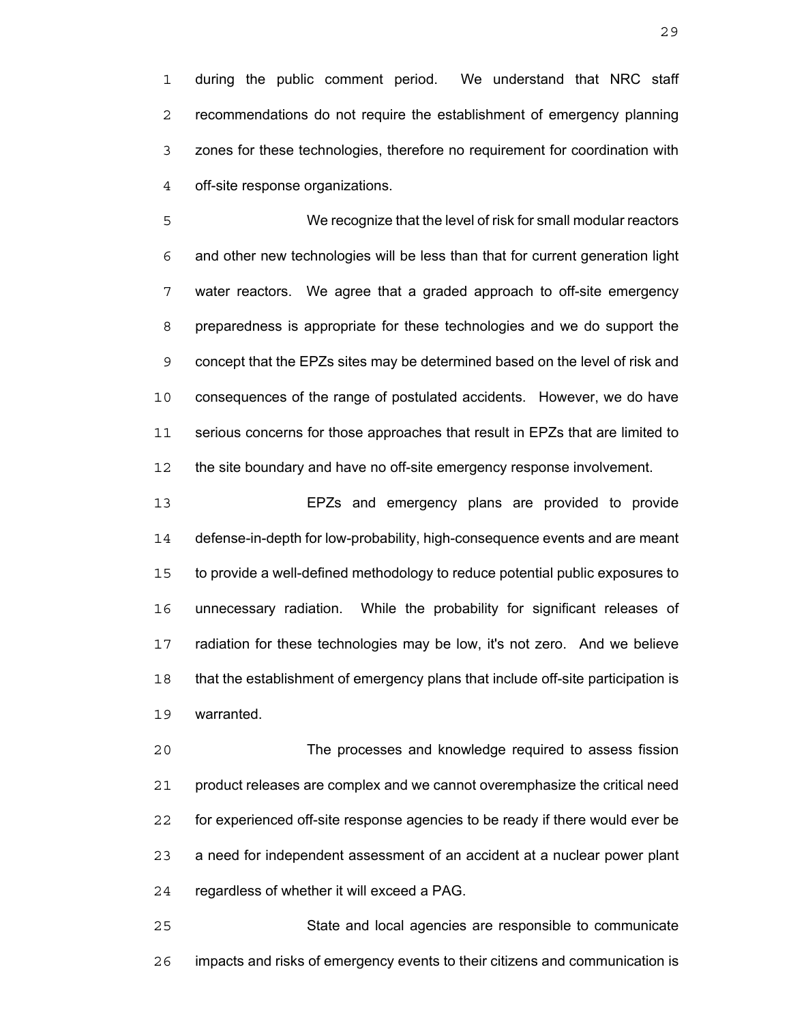during the public comment period. We understand that NRC staff recommendations do not require the establishment of emergency planning zones for these technologies, therefore no requirement for coordination with off-site response organizations.

We recognize that the level of risk for small modular reactors and other new technologies will be less than that for current generation light water reactors. We agree that a graded approach to off-site emergency preparedness is appropriate for these technologies and we do support the concept that the EPZs sites may be determined based on the level of risk and consequences of the range of postulated accidents. However, we do have serious concerns for those approaches that result in EPZs that are limited to the site boundary and have no off-site emergency response involvement.

EPZs and emergency plans are provided to provide defense-in-depth for low-probability, high-consequence events and are meant to provide a well-defined methodology to reduce potential public exposures to unnecessary radiation. While the probability for significant releases of radiation for these technologies may be low, it's not zero. And we believe that the establishment of emergency plans that include off-site participation is warranted.

The processes and knowledge required to assess fission product releases are complex and we cannot overemphasize the critical need for experienced off-site response agencies to be ready if there would ever be a need for independent assessment of an accident at a nuclear power plant regardless of whether it will exceed a PAG.

State and local agencies are responsible to communicate impacts and risks of emergency events to their citizens and communication is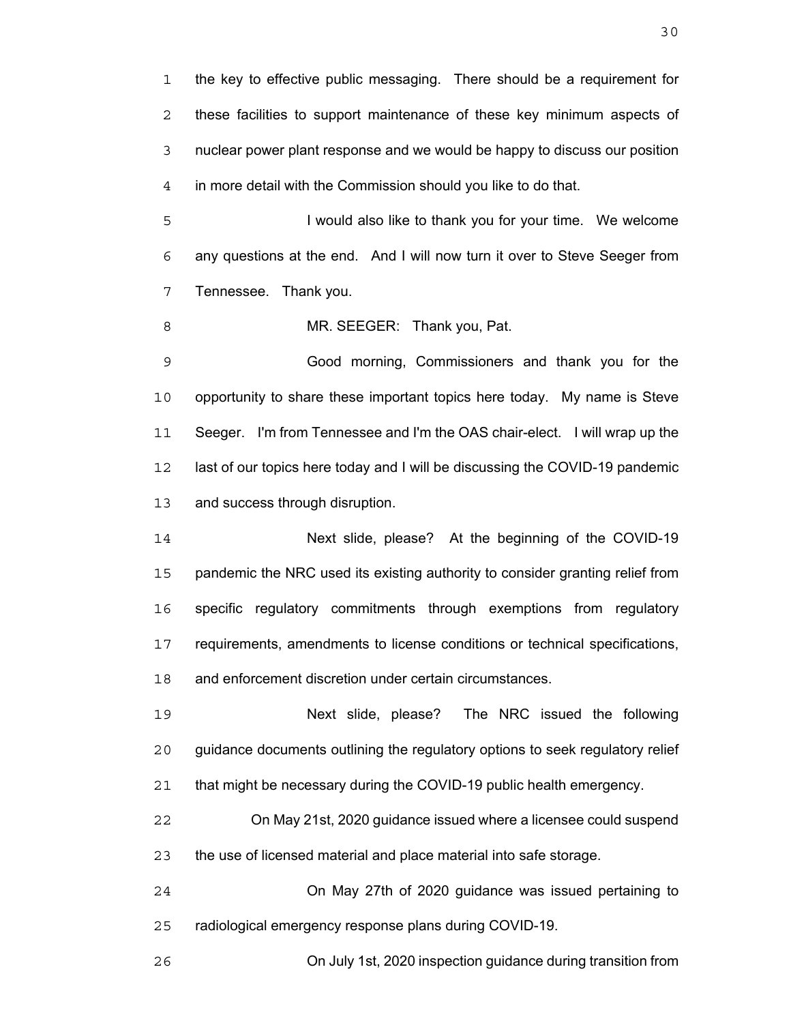the key to effective public messaging. There should be a requirement for these facilities to support maintenance of these key minimum aspects of nuclear power plant response and we would be happy to discuss our position in more detail with the Commission should you like to do that.

I would also like to thank you for your time. We welcome any questions at the end. And I will now turn it over to Steve Seeger from Tennessee. Thank you.

8 MR. SEEGER: Thank you, Pat.

Good morning, Commissioners and thank you for the 10 opportunity to share these important topics here today. My name is Steve Seeger. I'm from Tennessee and I'm the OAS chair-elect. I will wrap up the last of our topics here today and I will be discussing the COVID-19 pandemic and success through disruption.

Next slide, please? At the beginning of the COVID-19 pandemic the NRC used its existing authority to consider granting relief from specific regulatory commitments through exemptions from regulatory requirements, amendments to license conditions or technical specifications, and enforcement discretion under certain circumstances.

Next slide, please? The NRC issued the following guidance documents outlining the regulatory options to seek regulatory relief that might be necessary during the COVID-19 public health emergency.

On May 21st, 2020 guidance issued where a licensee could suspend the use of licensed material and place material into safe storage.

On May 27th of 2020 guidance was issued pertaining to radiological emergency response plans during COVID-19.

On July 1st, 2020 inspection guidance during transition from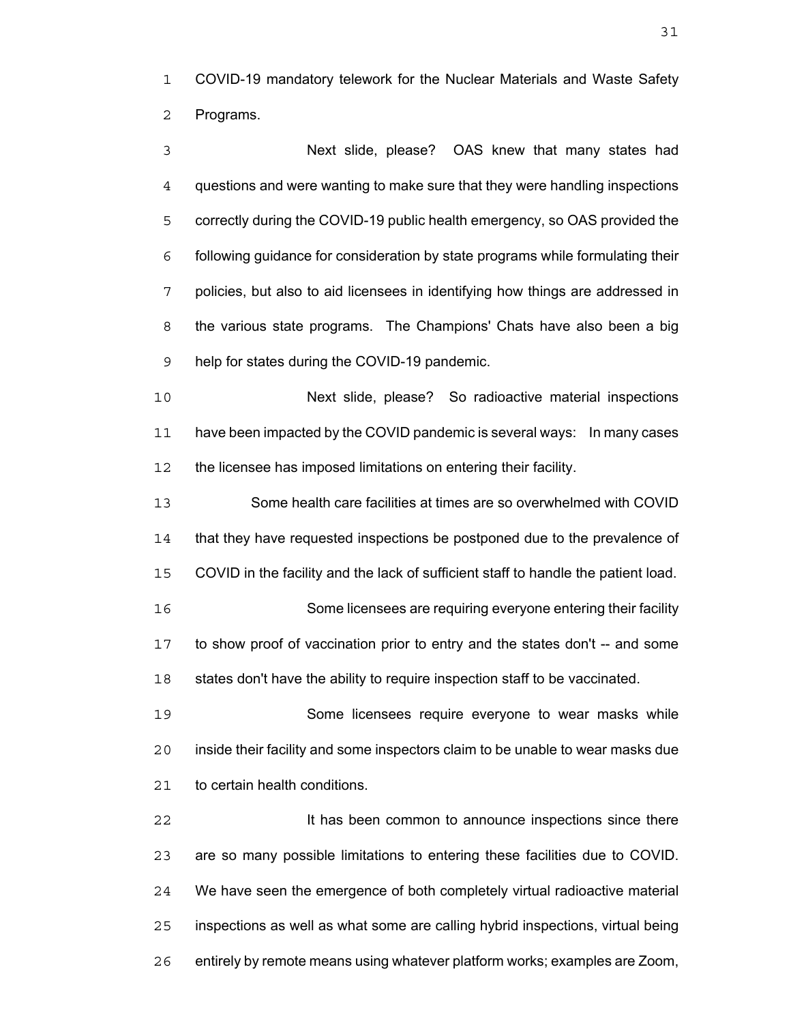COVID-19 mandatory telework for the Nuclear Materials and Waste Safety Programs.

Next slide, please? OAS knew that many states had questions and were wanting to make sure that they were handling inspections correctly during the COVID-19 public health emergency, so OAS provided the following guidance for consideration by state programs while formulating their policies, but also to aid licensees in identifying how things are addressed in the various state programs. The Champions' Chats have also been a big help for states during the COVID-19 pandemic.

Next slide, please? So radioactive material inspections have been impacted by the COVID pandemic is several ways: In many cases 12 the licensee has imposed limitations on entering their facility.

Some health care facilities at times are so overwhelmed with COVID that they have requested inspections be postponed due to the prevalence of COVID in the facility and the lack of sufficient staff to handle the patient load. Some licensees are requiring everyone entering their facility to show proof of vaccination prior to entry and the states don't -- and some states don't have the ability to require inspection staff to be vaccinated.

Some licensees require everyone to wear masks while inside their facility and some inspectors claim to be unable to wear masks due to certain health conditions.

**It has been common to announce inspections since there** are so many possible limitations to entering these facilities due to COVID. We have seen the emergence of both completely virtual radioactive material inspections as well as what some are calling hybrid inspections, virtual being entirely by remote means using whatever platform works; examples are Zoom,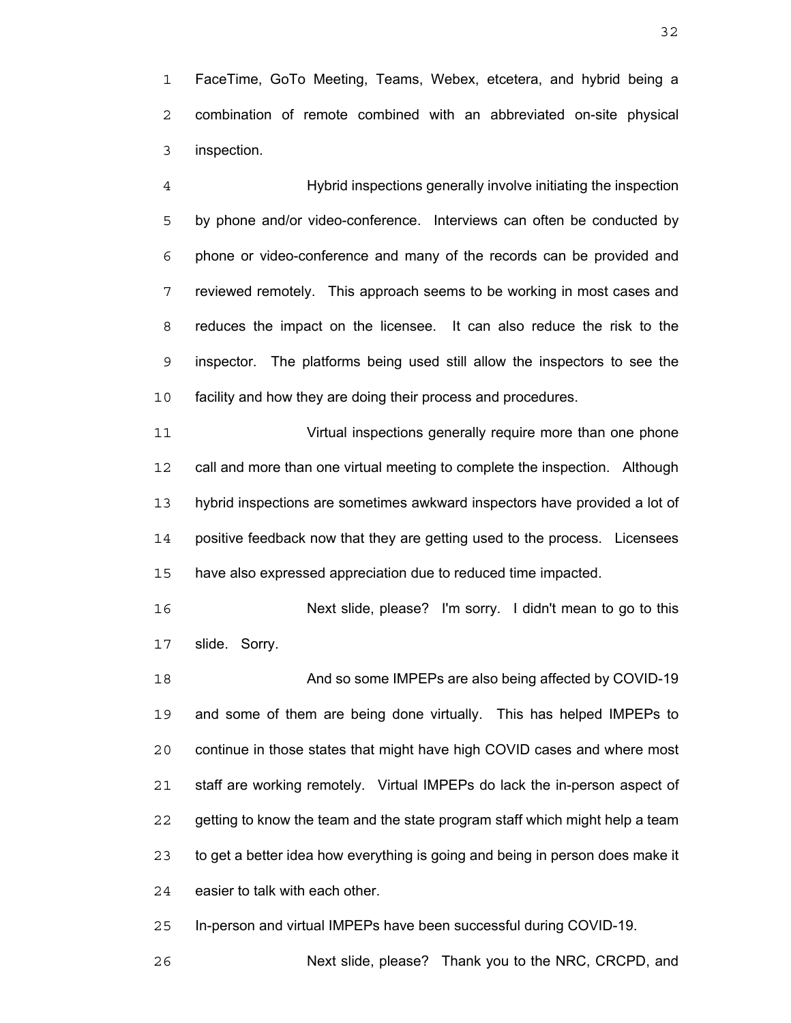FaceTime, GoTo Meeting, Teams, Webex, etcetera, and hybrid being a combination of remote combined with an abbreviated on-site physical inspection.

Hybrid inspections generally involve initiating the inspection by phone and/or video-conference. Interviews can often be conducted by phone or video-conference and many of the records can be provided and reviewed remotely. This approach seems to be working in most cases and reduces the impact on the licensee. It can also reduce the risk to the inspector. The platforms being used still allow the inspectors to see the facility and how they are doing their process and procedures.

Virtual inspections generally require more than one phone call and more than one virtual meeting to complete the inspection. Although hybrid inspections are sometimes awkward inspectors have provided a lot of positive feedback now that they are getting used to the process. Licensees have also expressed appreciation due to reduced time impacted.

Next slide, please? I'm sorry. I didn't mean to go to this slide. Sorry.

And so some IMPEPs are also being affected by COVID-19 and some of them are being done virtually. This has helped IMPEPs to continue in those states that might have high COVID cases and where most staff are working remotely. Virtual IMPEPs do lack the in-person aspect of getting to know the team and the state program staff which might help a team to get a better idea how everything is going and being in person does make it easier to talk with each other.

In-person and virtual IMPEPs have been successful during COVID-19.

Next slide, please? Thank you to the NRC, CRCPD, and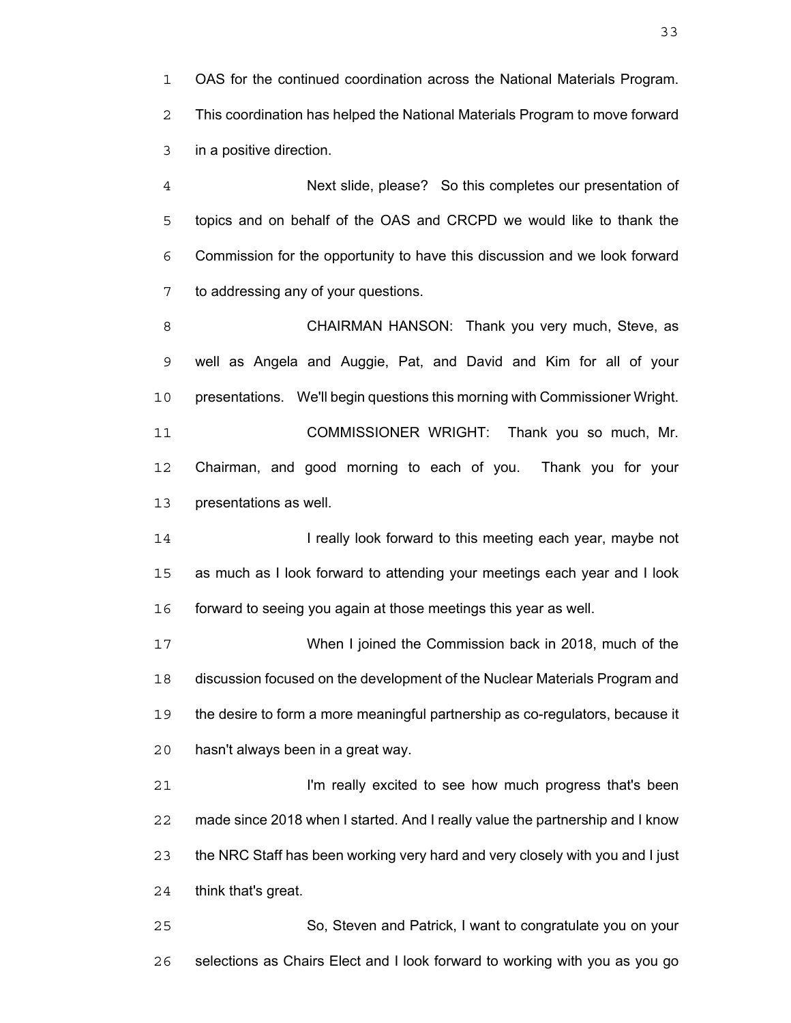OAS for the continued coordination across the National Materials Program. This coordination has helped the National Materials Program to move forward in a positive direction.

Next slide, please? So this completes our presentation of topics and on behalf of the OAS and CRCPD we would like to thank the Commission for the opportunity to have this discussion and we look forward to addressing any of your questions.

**CHAIRMAN HANSON:** Thank you very much, Steve, as well as Angela and Auggie, Pat, and David and Kim for all of your presentations. We'll begin questions this morning with Commissioner Wright. COMMISSIONER WRIGHT: Thank you so much, Mr. Chairman, and good morning to each of you. Thank you for your presentations as well.

**I really look forward to this meeting each year, maybe not** as much as I look forward to attending your meetings each year and I look forward to seeing you again at those meetings this year as well.

When I joined the Commission back in 2018, much of the discussion focused on the development of the Nuclear Materials Program and the desire to form a more meaningful partnership as co-regulators, because it hasn't always been in a great way.

**I'm really excited to see how much progress that's been** made since 2018 when I started. And I really value the partnership and I know the NRC Staff has been working very hard and very closely with you and I just think that's great.

So, Steven and Patrick, I want to congratulate you on your selections as Chairs Elect and I look forward to working with you as you go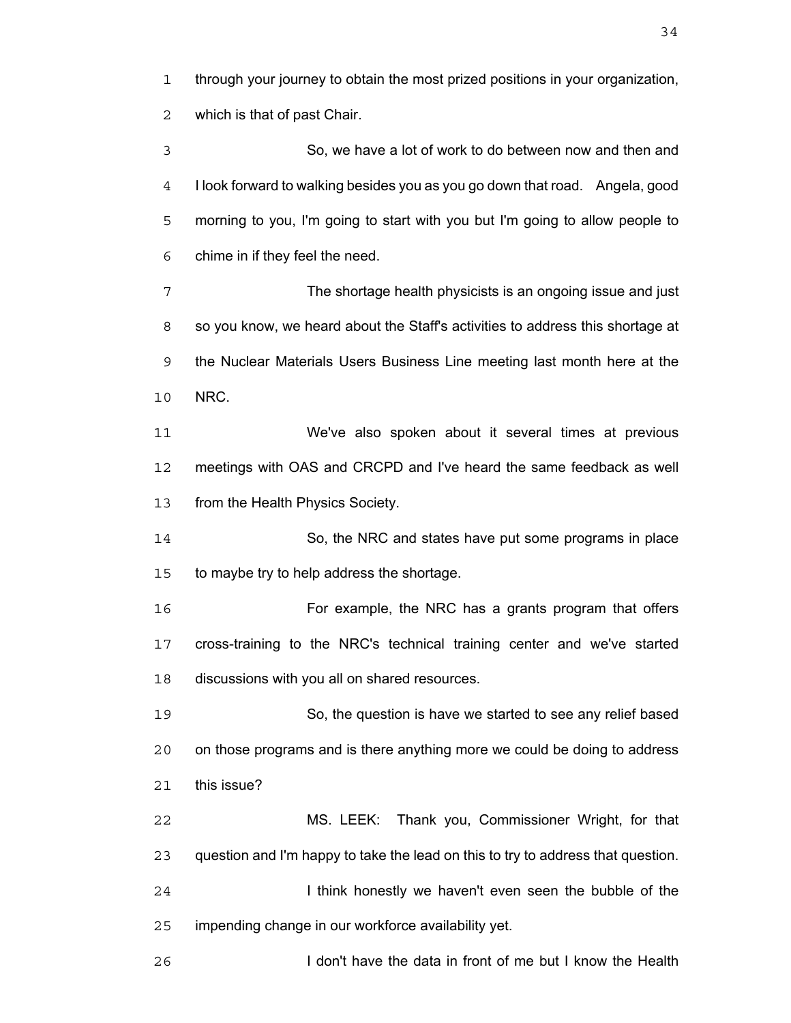through your journey to obtain the most prized positions in your organization, which is that of past Chair. So, we have a lot of work to do between now and then and I look forward to walking besides you as you go down that road. Angela, good morning to you, I'm going to start with you but I'm going to allow people to chime in if they feel the need. The shortage health physicists is an ongoing issue and just 8 so you know, we heard about the Staff's activities to address this shortage at the Nuclear Materials Users Business Line meeting last month here at the NRC. We've also spoken about it several times at previous meetings with OAS and CRCPD and I've heard the same feedback as well from the Health Physics Society. So, the NRC and states have put some programs in place to maybe try to help address the shortage. For example, the NRC has a grants program that offers cross-training to the NRC's technical training center and we've started discussions with you all on shared resources. So, the question is have we started to see any relief based on those programs and is there anything more we could be doing to address this issue? MS. LEEK: Thank you, Commissioner Wright, for that question and I'm happy to take the lead on this to try to address that question. 24 I think honestly we haven't even seen the bubble of the impending change in our workforce availability yet. I don't have the data in front of me but I know the Health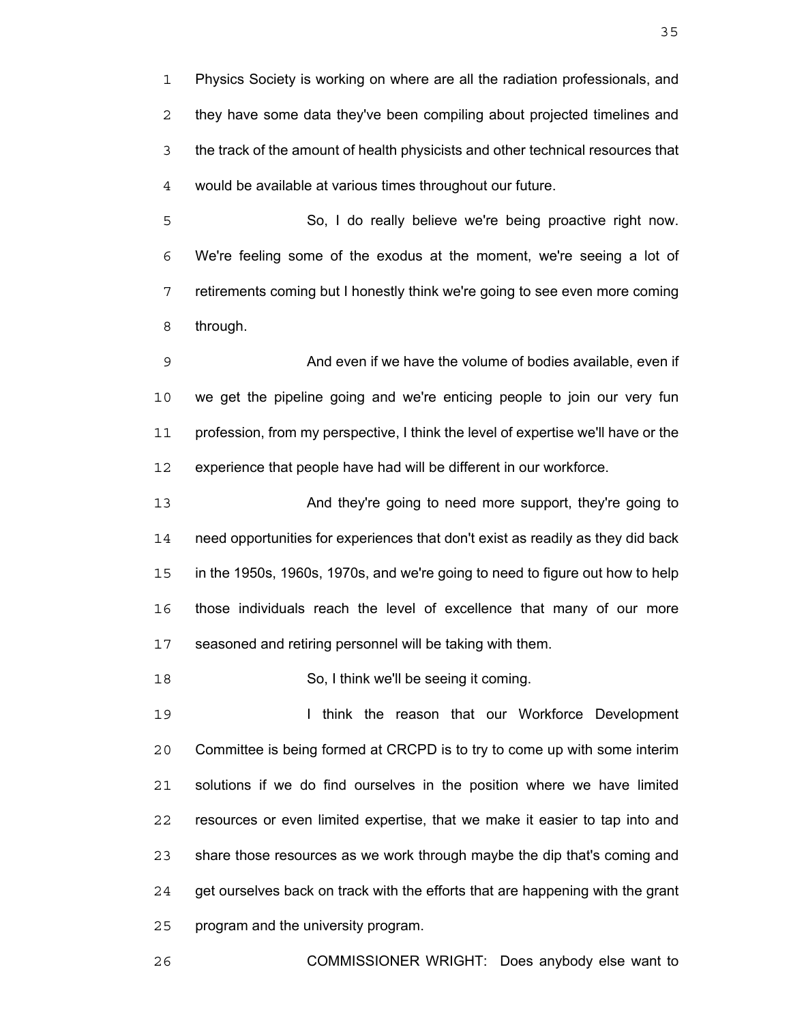Physics Society is working on where are all the radiation professionals, and they have some data they've been compiling about projected timelines and the track of the amount of health physicists and other technical resources that would be available at various times throughout our future.

So, I do really believe we're being proactive right now. We're feeling some of the exodus at the moment, we're seeing a lot of retirements coming but I honestly think we're going to see even more coming through.

And even if we have the volume of bodies available, even if we get the pipeline going and we're enticing people to join our very fun 11 profession, from my perspective, I think the level of expertise we'll have or the experience that people have had will be different in our workforce.

And they're going to need more support, they're going to need opportunities for experiences that don't exist as readily as they did back in the 1950s, 1960s, 1970s, and we're going to need to figure out how to help those individuals reach the level of excellence that many of our more seasoned and retiring personnel will be taking with them.

So, I think we'll be seeing it coming.

**I think the reason that our Workforce Development** Committee is being formed at CRCPD is to try to come up with some interim solutions if we do find ourselves in the position where we have limited resources or even limited expertise, that we make it easier to tap into and share those resources as we work through maybe the dip that's coming and get ourselves back on track with the efforts that are happening with the grant program and the university program.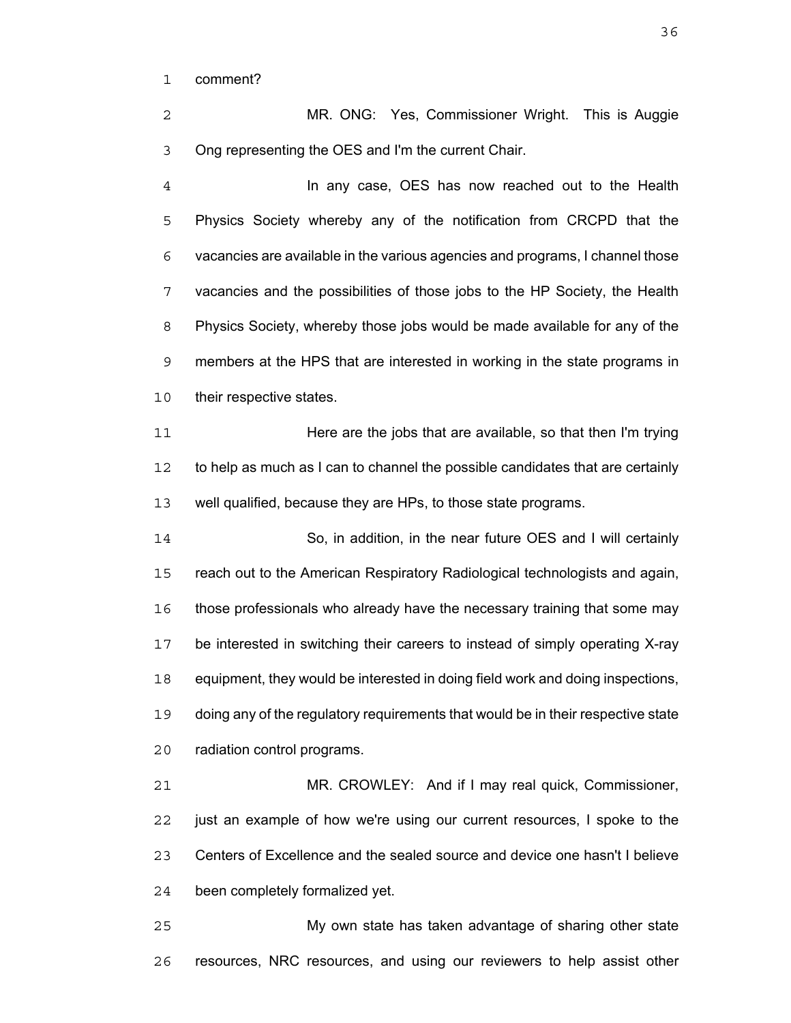comment?

MR. ONG: Yes, Commissioner Wright. This is Auggie Ong representing the OES and I'm the current Chair.

In any case, OES has now reached out to the Health Physics Society whereby any of the notification from CRCPD that the vacancies are available in the various agencies and programs, I channel those vacancies and the possibilities of those jobs to the HP Society, the Health Physics Society, whereby those jobs would be made available for any of the members at the HPS that are interested in working in the state programs in 10 their respective states.

Here are the jobs that are available, so that then I'm trying to help as much as I can to channel the possible candidates that are certainly well qualified, because they are HPs, to those state programs.

So, in addition, in the near future OES and I will certainly reach out to the American Respiratory Radiological technologists and again, those professionals who already have the necessary training that some may be interested in switching their careers to instead of simply operating X-ray equipment, they would be interested in doing field work and doing inspections, doing any of the regulatory requirements that would be in their respective state radiation control programs.

MR. CROWLEY: And if I may real quick, Commissioner, just an example of how we're using our current resources, I spoke to the Centers of Excellence and the sealed source and device one hasn't I believe been completely formalized yet.

My own state has taken advantage of sharing other state resources, NRC resources, and using our reviewers to help assist other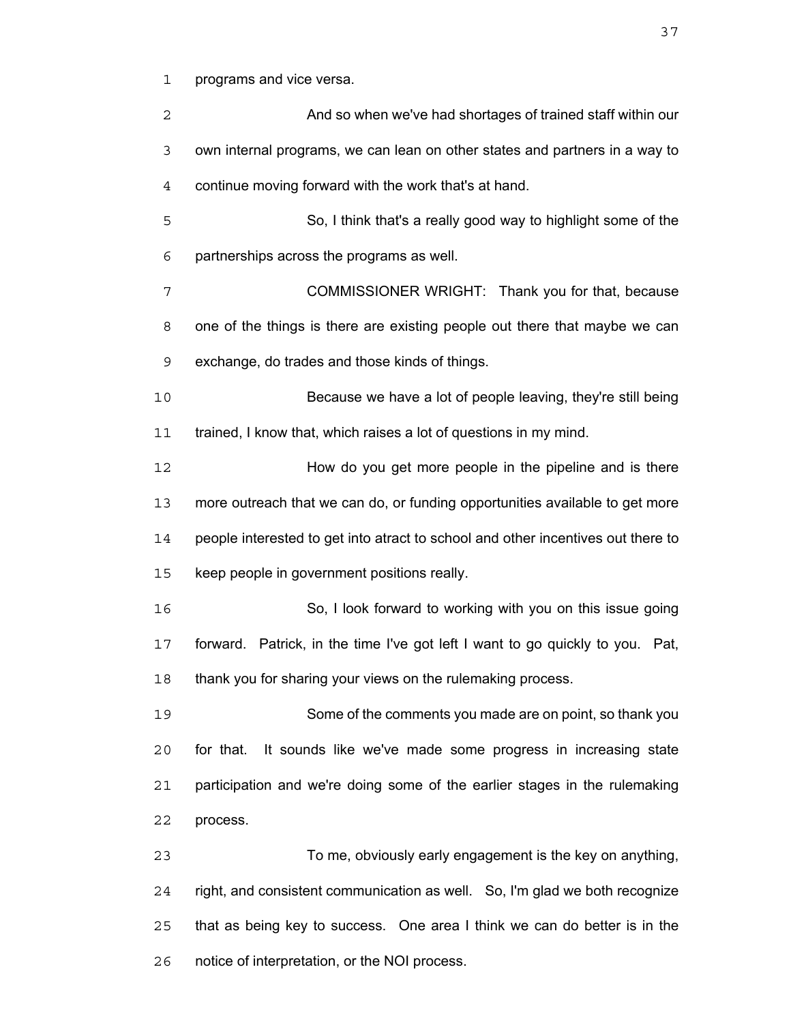programs and vice versa.

| 2  | And so when we've had shortages of trained staff within our                      |
|----|----------------------------------------------------------------------------------|
| 3  | own internal programs, we can lean on other states and partners in a way to      |
| 4  | continue moving forward with the work that's at hand.                            |
| 5  | So, I think that's a really good way to highlight some of the                    |
| 6  | partnerships across the programs as well.                                        |
| 7  | COMMISSIONER WRIGHT: Thank you for that, because                                 |
| 8  | one of the things is there are existing people out there that maybe we can       |
| 9  | exchange, do trades and those kinds of things.                                   |
| 10 | Because we have a lot of people leaving, they're still being                     |
| 11 | trained, I know that, which raises a lot of questions in my mind.                |
| 12 | How do you get more people in the pipeline and is there                          |
| 13 | more outreach that we can do, or funding opportunities available to get more     |
| 14 | people interested to get into atract to school and other incentives out there to |
| 15 | keep people in government positions really.                                      |
| 16 | So, I look forward to working with you on this issue going                       |
| 17 | forward. Patrick, in the time I've got left I want to go quickly to you. Pat,    |
| 18 | thank you for sharing your views on the rulemaking process.                      |
| 19 | Some of the comments you made are on point, so thank you                         |
| 20 | It sounds like we've made some progress in increasing state<br>for that.         |
| 21 | participation and we're doing some of the earlier stages in the rulemaking       |
| 22 | process.                                                                         |
| 23 | To me, obviously early engagement is the key on anything,                        |
| 24 | right, and consistent communication as well. So, I'm glad we both recognize      |
| 25 | that as being key to success. One area I think we can do better is in the        |
| 26 | notice of interpretation, or the NOI process.                                    |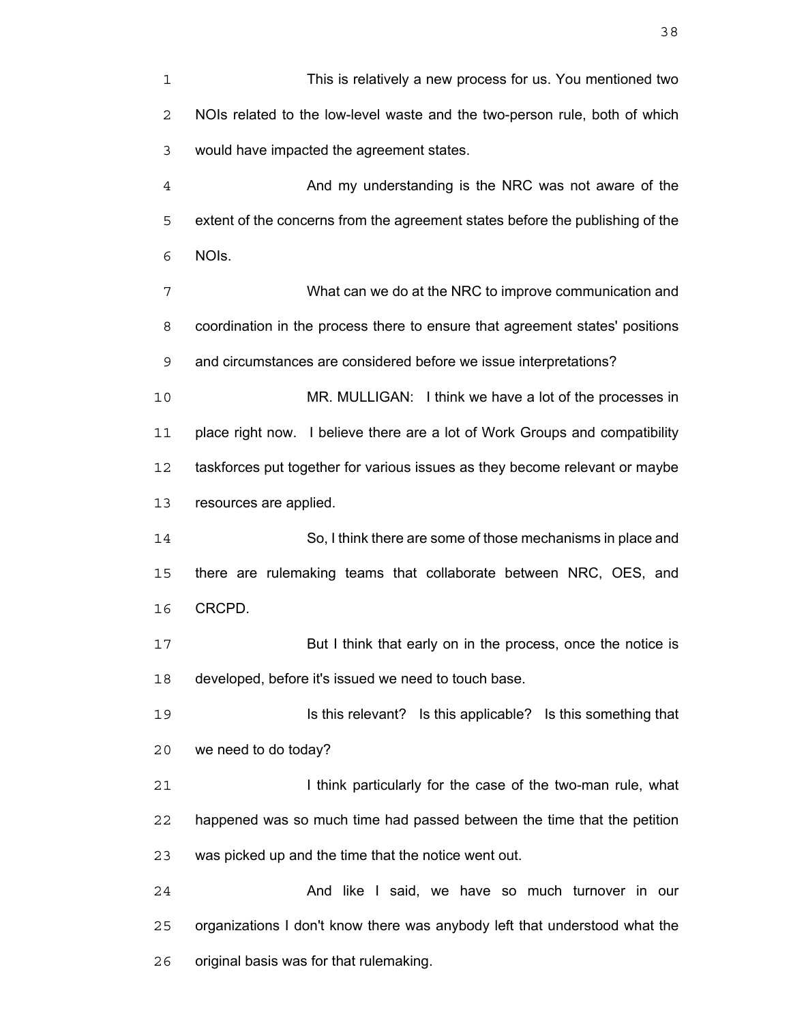| 1              | This is relatively a new process for us. You mentioned two                    |
|----------------|-------------------------------------------------------------------------------|
| 2              | NOIs related to the low-level waste and the two-person rule, both of which    |
| 3              | would have impacted the agreement states.                                     |
| $\overline{4}$ | And my understanding is the NRC was not aware of the                          |
| 5              | extent of the concerns from the agreement states before the publishing of the |
| 6              | NOIs.                                                                         |
| 7              | What can we do at the NRC to improve communication and                        |
| 8              | coordination in the process there to ensure that agreement states' positions  |
| 9              | and circumstances are considered before we issue interpretations?             |
| $10$           | MR. MULLIGAN: I think we have a lot of the processes in                       |
| 11             | place right now. I believe there are a lot of Work Groups and compatibility   |
| 12             | taskforces put together for various issues as they become relevant or maybe   |
| 13             | resources are applied.                                                        |
| 14             | So, I think there are some of those mechanisms in place and                   |
| 15             | there are rulemaking teams that collaborate between NRC, OES, and             |
| 16             | CRCPD.                                                                        |
| 17             | But I think that early on in the process, once the notice is                  |
| 18             | developed, before it's issued we need to touch base.                          |
| 19             | Is this relevant? Is this applicable? Is this something that                  |
| 20             | we need to do today?                                                          |
| 21             | I think particularly for the case of the two-man rule, what                   |
| 22             | happened was so much time had passed between the time that the petition       |
| 23             | was picked up and the time that the notice went out.                          |
| 24             | And like I said, we have so much turnover in our                              |
| 25             | organizations I don't know there was anybody left that understood what the    |
| 26             | original basis was for that rulemaking.                                       |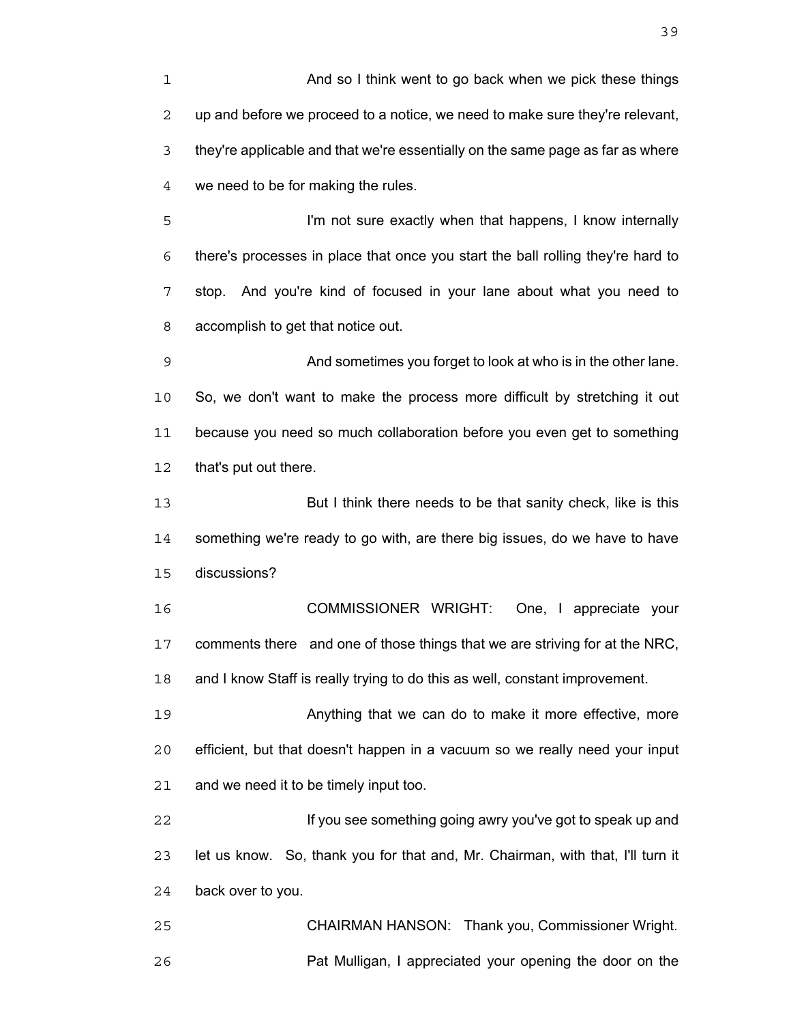And so I think went to go back when we pick these things up and before we proceed to a notice, we need to make sure they're relevant, they're applicable and that we're essentially on the same page as far as where we need to be for making the rules.

I'm not sure exactly when that happens, I know internally there's processes in place that once you start the ball rolling they're hard to stop. And you're kind of focused in your lane about what you need to accomplish to get that notice out.

And sometimes you forget to look at who is in the other lane. So, we don't want to make the process more difficult by stretching it out because you need so much collaboration before you even get to something that's put out there.

But I think there needs to be that sanity check, like is this something we're ready to go with, are there big issues, do we have to have discussions?

COMMISSIONER WRIGHT: One, I appreciate your comments there and one of those things that we are striving for at the NRC, and I know Staff is really trying to do this as well, constant improvement.

Anything that we can do to make it more effective, more efficient, but that doesn't happen in a vacuum so we really need your input and we need it to be timely input too.

If you see something going awry you've got to speak up and let us know. So, thank you for that and, Mr. Chairman, with that, I'll turn it back over to you.

CHAIRMAN HANSON: Thank you, Commissioner Wright. Pat Mulligan, I appreciated your opening the door on the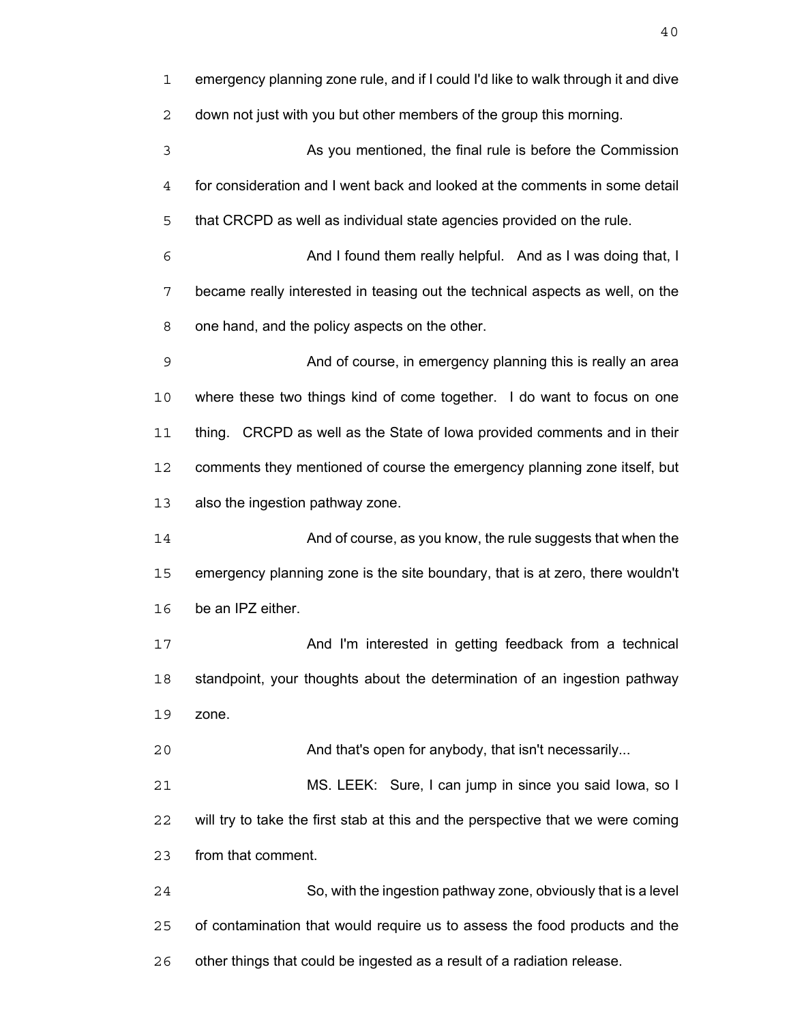emergency planning zone rule, and if I could I'd like to walk through it and dive down not just with you but other members of the group this morning. As you mentioned, the final rule is before the Commission for consideration and I went back and looked at the comments in some detail that CRCPD as well as individual state agencies provided on the rule. And I found them really helpful. And as I was doing that, I became really interested in teasing out the technical aspects as well, on the one hand, and the policy aspects on the other. And of course, in emergency planning this is really an area where these two things kind of come together. I do want to focus on one thing. CRCPD as well as the State of Iowa provided comments and in their comments they mentioned of course the emergency planning zone itself, but also the ingestion pathway zone. And of course, as you know, the rule suggests that when the emergency planning zone is the site boundary, that is at zero, there wouldn't be an IPZ either. And I'm interested in getting feedback from a technical standpoint, your thoughts about the determination of an ingestion pathway zone. And that's open for anybody, that isn't necessarily... MS. LEEK: Sure, I can jump in since you said Iowa, so I will try to take the first stab at this and the perspective that we were coming from that comment. So, with the ingestion pathway zone, obviously that is a level of contamination that would require us to assess the food products and the other things that could be ingested as a result of a radiation release.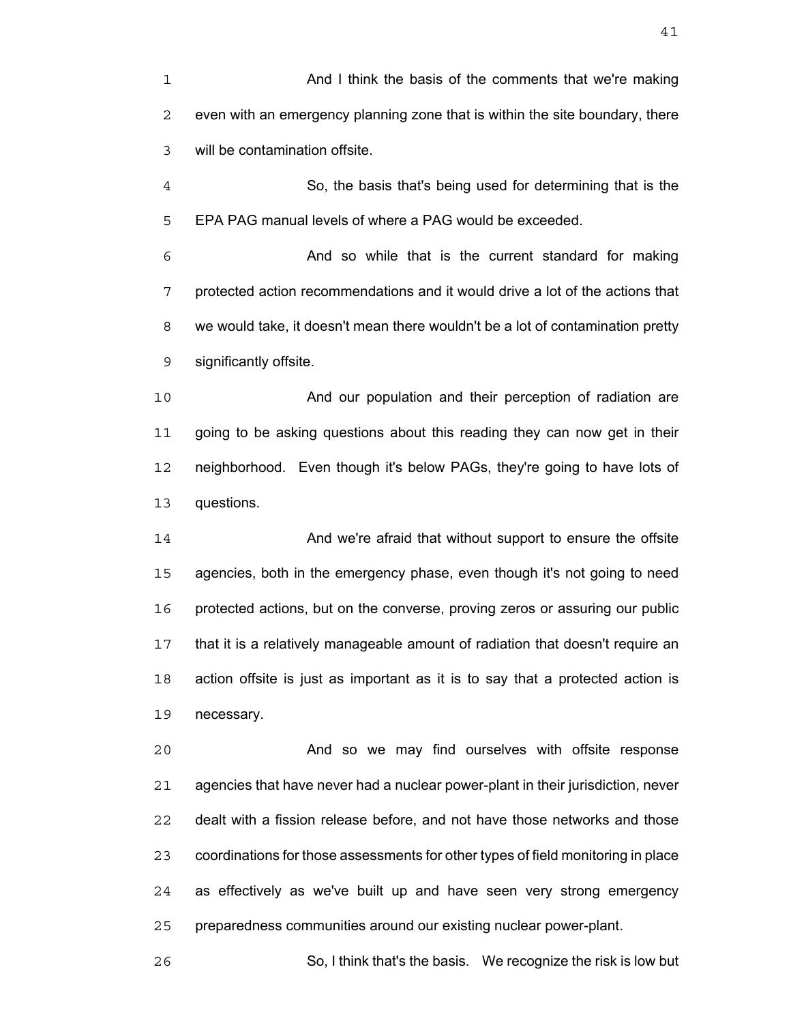And I think the basis of the comments that we're making even with an emergency planning zone that is within the site boundary, there will be contamination offsite. So, the basis that's being used for determining that is the EPA PAG manual levels of where a PAG would be exceeded. And so while that is the current standard for making protected action recommendations and it would drive a lot of the actions that we would take, it doesn't mean there wouldn't be a lot of contamination pretty significantly offsite. And our population and their perception of radiation are going to be asking questions about this reading they can now get in their neighborhood. Even though it's below PAGs, they're going to have lots of questions. And we're afraid that without support to ensure the offsite agencies, both in the emergency phase, even though it's not going to need protected actions, but on the converse, proving zeros or assuring our public that it is a relatively manageable amount of radiation that doesn't require an

action offsite is just as important as it is to say that a protected action is necessary.

And so we may find ourselves with offsite response agencies that have never had a nuclear power-plant in their jurisdiction, never dealt with a fission release before, and not have those networks and those coordinations for those assessments for other types of field monitoring in place as effectively as we've built up and have seen very strong emergency preparedness communities around our existing nuclear power-plant.

So, I think that's the basis. We recognize the risk is low but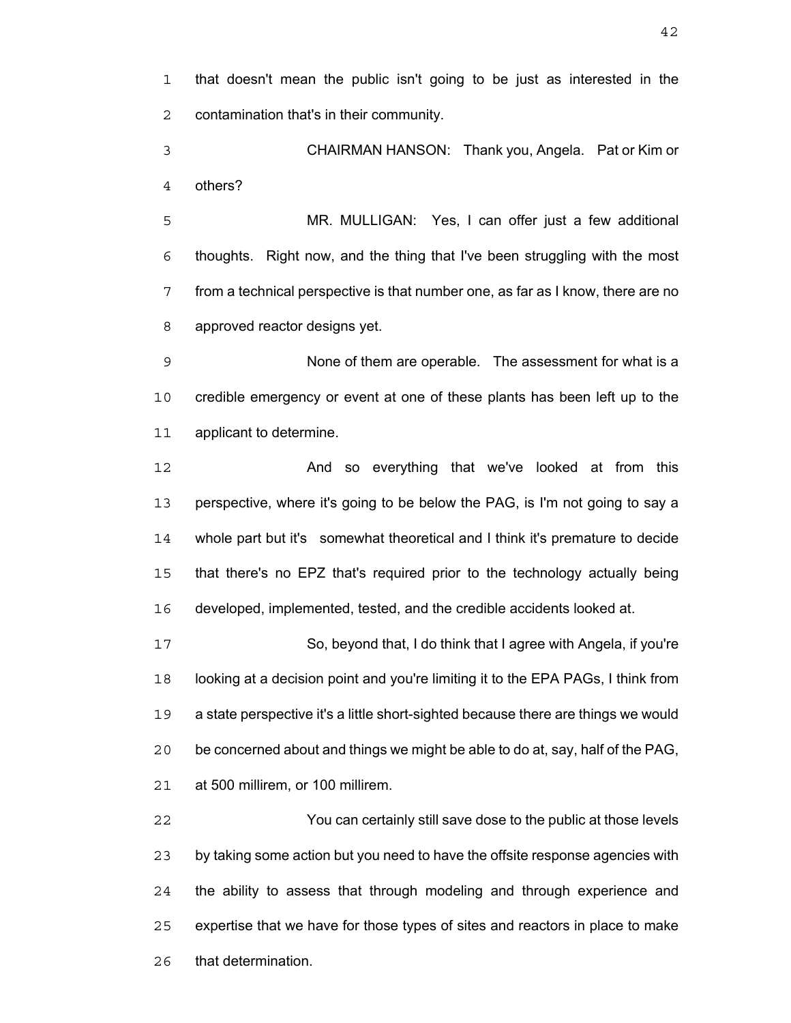that doesn't mean the public isn't going to be just as interested in the contamination that's in their community.

CHAIRMAN HANSON: Thank you, Angela. Pat or Kim or others?

MR. MULLIGAN: Yes, I can offer just a few additional thoughts. Right now, and the thing that I've been struggling with the most from a technical perspective is that number one, as far as I know, there are no approved reactor designs yet.

None of them are operable. The assessment for what is a credible emergency or event at one of these plants has been left up to the applicant to determine.

**And so everything that we've looked at from this** perspective, where it's going to be below the PAG, is I'm not going to say a whole part but it's somewhat theoretical and I think it's premature to decide that there's no EPZ that's required prior to the technology actually being developed, implemented, tested, and the credible accidents looked at.

So, beyond that, I do think that I agree with Angela, if you're looking at a decision point and you're limiting it to the EPA PAGs, I think from a state perspective it's a little short-sighted because there are things we would be concerned about and things we might be able to do at, say, half of the PAG, at 500 millirem, or 100 millirem.

You can certainly still save dose to the public at those levels by taking some action but you need to have the offsite response agencies with the ability to assess that through modeling and through experience and expertise that we have for those types of sites and reactors in place to make that determination.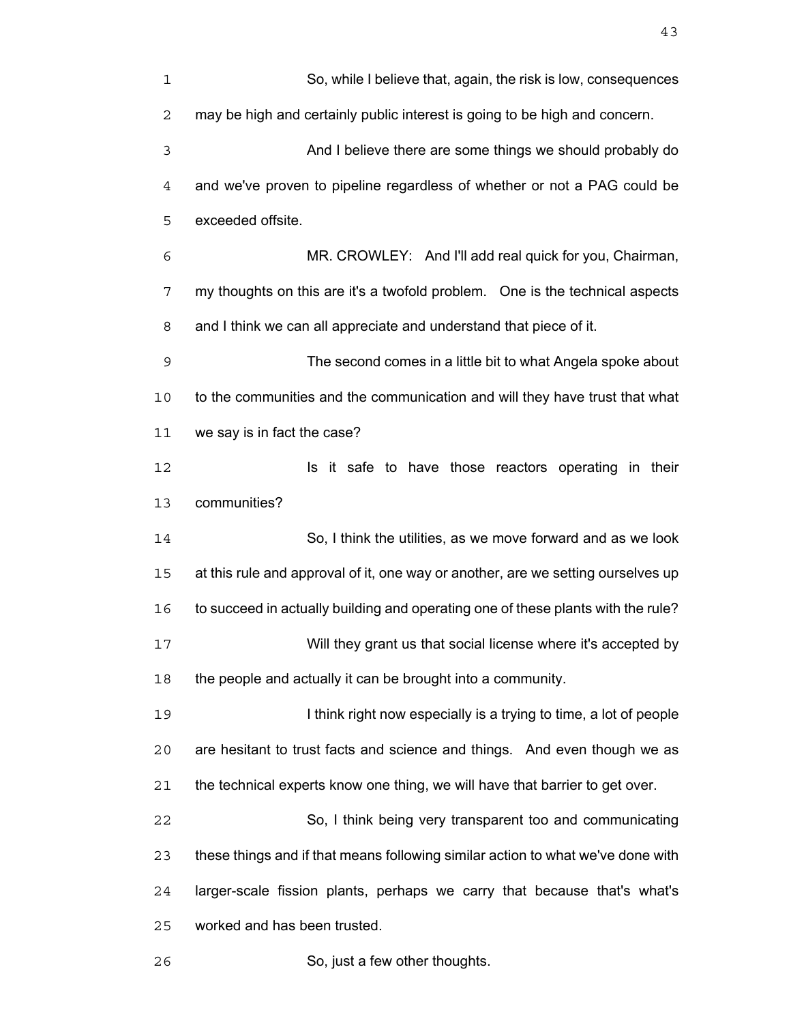| $\mathbf 1$    | So, while I believe that, again, the risk is low, consequences                   |
|----------------|----------------------------------------------------------------------------------|
| 2              | may be high and certainly public interest is going to be high and concern.       |
| $\mathsf 3$    | And I believe there are some things we should probably do                        |
| $\overline{4}$ | and we've proven to pipeline regardless of whether or not a PAG could be         |
| 5              | exceeded offsite.                                                                |
| 6              | MR. CROWLEY: And I'll add real quick for you, Chairman,                          |
| 7              | my thoughts on this are it's a twofold problem. One is the technical aspects     |
| 8              | and I think we can all appreciate and understand that piece of it.               |
| $\mathsf 9$    | The second comes in a little bit to what Angela spoke about                      |
| 10             | to the communities and the communication and will they have trust that what      |
| 11             | we say is in fact the case?                                                      |
| 12             | Is it safe to have those reactors operating in their                             |
| 13             | communities?                                                                     |
| 14             | So, I think the utilities, as we move forward and as we look                     |
| 15             | at this rule and approval of it, one way or another, are we setting ourselves up |
| 16             | to succeed in actually building and operating one of these plants with the rule? |
| 17             | Will they grant us that social license where it's accepted by                    |
| 18             | the people and actually it can be brought into a community.                      |
| 19             | I think right now especially is a trying to time, a lot of people                |
| 20             | are hesitant to trust facts and science and things. And even though we as        |
| 21             | the technical experts know one thing, we will have that barrier to get over.     |
| 22             | So, I think being very transparent too and communicating                         |
| 23             | these things and if that means following similar action to what we've done with  |
| 24             | larger-scale fission plants, perhaps we carry that because that's what's         |
| 25             | worked and has been trusted.                                                     |
| 26             | So, just a few other thoughts.                                                   |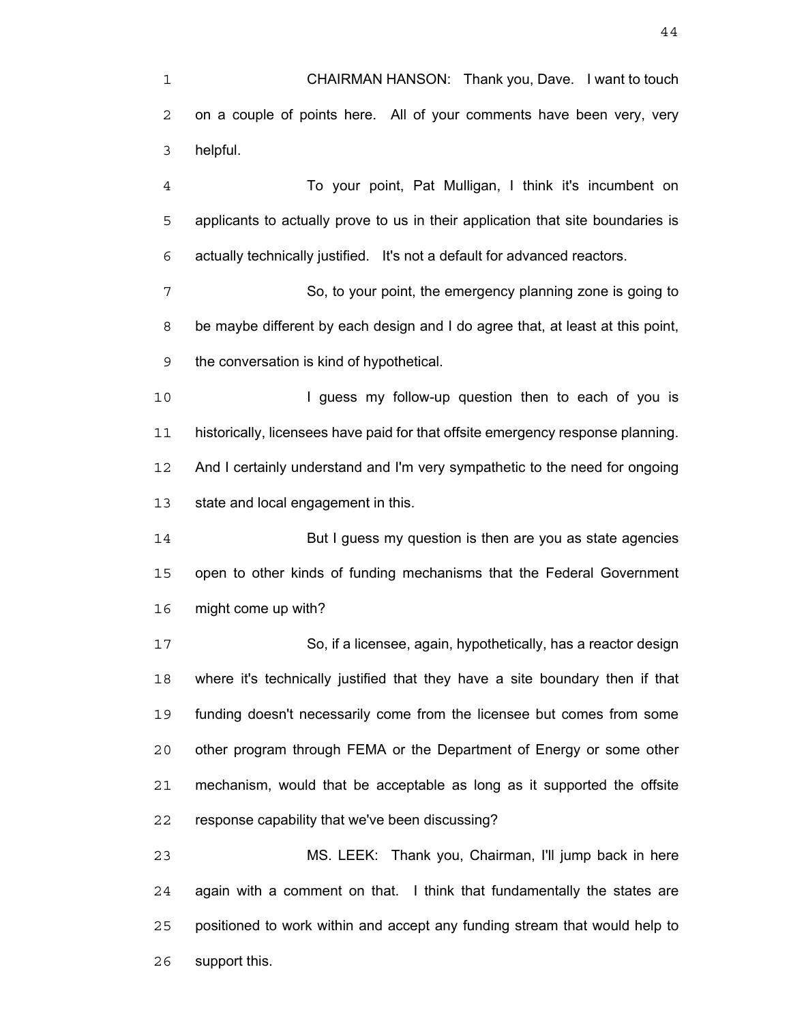CHAIRMAN HANSON: Thank you, Dave. I want to touch on a couple of points here. All of your comments have been very, very helpful.

To your point, Pat Mulligan, I think it's incumbent on applicants to actually prove to us in their application that site boundaries is actually technically justified. It's not a default for advanced reactors.

So, to your point, the emergency planning zone is going to be maybe different by each design and I do agree that, at least at this point, the conversation is kind of hypothetical.

10 I guess my follow-up question then to each of you is historically, licensees have paid for that offsite emergency response planning. And I certainly understand and I'm very sympathetic to the need for ongoing state and local engagement in this.

But I guess my question is then are you as state agencies open to other kinds of funding mechanisms that the Federal Government might come up with?

So, if a licensee, again, hypothetically, has a reactor design where it's technically justified that they have a site boundary then if that funding doesn't necessarily come from the licensee but comes from some other program through FEMA or the Department of Energy or some other mechanism, would that be acceptable as long as it supported the offsite response capability that we've been discussing?

MS. LEEK: Thank you, Chairman, I'll jump back in here again with a comment on that. I think that fundamentally the states are positioned to work within and accept any funding stream that would help to support this.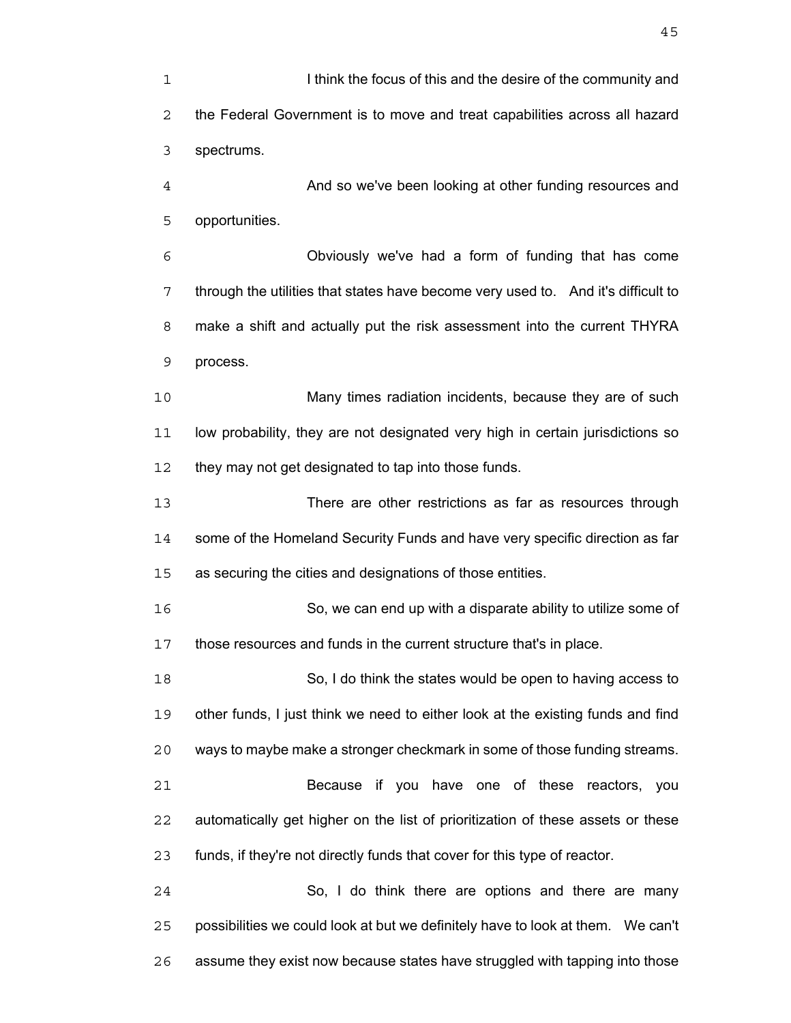**I is a letter of the focus of this and the desire of the community and** the Federal Government is to move and treat capabilities across all hazard spectrums. And so we've been looking at other funding resources and opportunities. Obviously we've had a form of funding that has come through the utilities that states have become very used to. And it's difficult to make a shift and actually put the risk assessment into the current THYRA process. Many times radiation incidents, because they are of such low probability, they are not designated very high in certain jurisdictions so 12 they may not get designated to tap into those funds. There are other restrictions as far as resources through some of the Homeland Security Funds and have very specific direction as far as securing the cities and designations of those entities. So, we can end up with a disparate ability to utilize some of those resources and funds in the current structure that's in place. So, I do think the states would be open to having access to other funds, I just think we need to either look at the existing funds and find ways to maybe make a stronger checkmark in some of those funding streams. Because if you have one of these reactors, you automatically get higher on the list of prioritization of these assets or these funds, if they're not directly funds that cover for this type of reactor. So, I do think there are options and there are many possibilities we could look at but we definitely have to look at them. We can't assume they exist now because states have struggled with tapping into those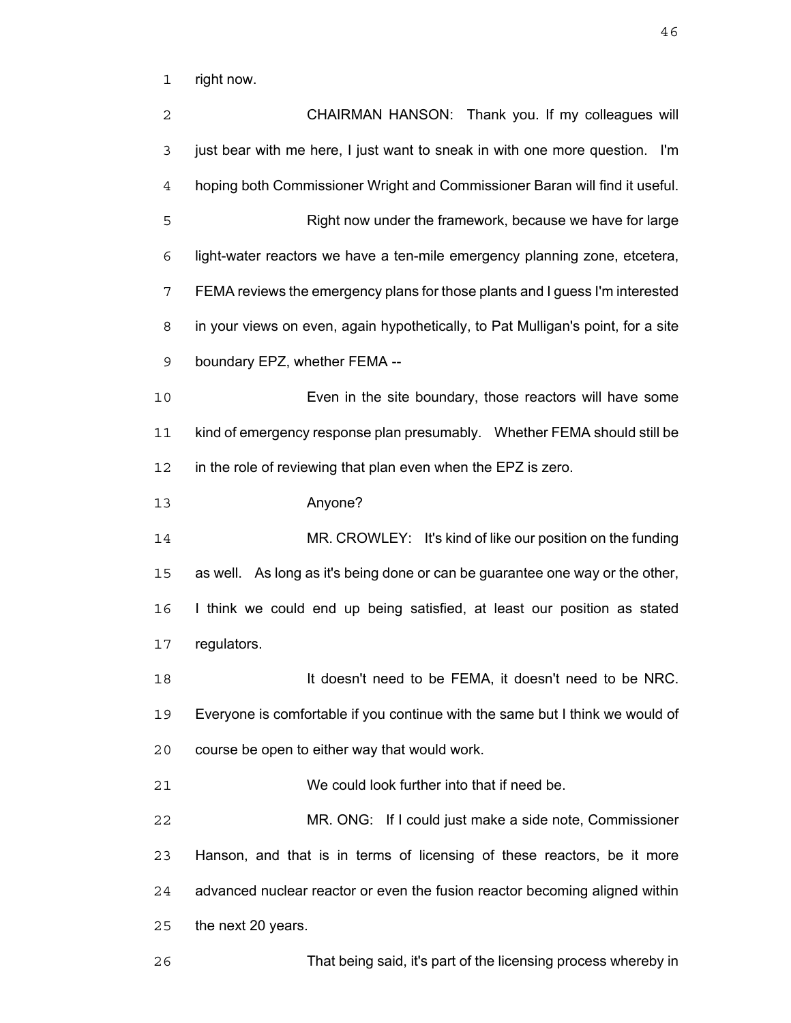right now.

| 2           | CHAIRMAN HANSON: Thank you. If my colleagues will                                |
|-------------|----------------------------------------------------------------------------------|
| 3           | just bear with me here, I just want to sneak in with one more question. I'm      |
| 4           | hoping both Commissioner Wright and Commissioner Baran will find it useful.      |
| 5           | Right now under the framework, because we have for large                         |
| 6           | light-water reactors we have a ten-mile emergency planning zone, etcetera,       |
| 7           | FEMA reviews the emergency plans for those plants and I guess I'm interested     |
| 8           | in your views on even, again hypothetically, to Pat Mulligan's point, for a site |
| $\mathsf 9$ | boundary EPZ, whether FEMA --                                                    |
| 10          | Even in the site boundary, those reactors will have some                         |
| 11          | kind of emergency response plan presumably.  Whether FEMA should still be        |
| 12          | in the role of reviewing that plan even when the EPZ is zero.                    |
| 13          | Anyone?                                                                          |
| 14          | MR. CROWLEY: It's kind of like our position on the funding                       |
| 15          | as well. As long as it's being done or can be guarantee one way or the other,    |
| 16          | I think we could end up being satisfied, at least our position as stated         |
| 17          | regulators.                                                                      |
| 18          | It doesn't need to be FEMA, it doesn't need to be NRC.                           |
| 19          | Everyone is comfortable if you continue with the same but I think we would of    |
| 20          | course be open to either way that would work.                                    |
| 21          | We could look further into that if need be.                                      |
| 22          | MR. ONG: If I could just make a side note, Commissioner                          |
| 23          | Hanson, and that is in terms of licensing of these reactors, be it more          |
| 24          | advanced nuclear reactor or even the fusion reactor becoming aligned within      |
| 25          | the next 20 years.                                                               |
| 26          | That being said, it's part of the licensing process whereby in                   |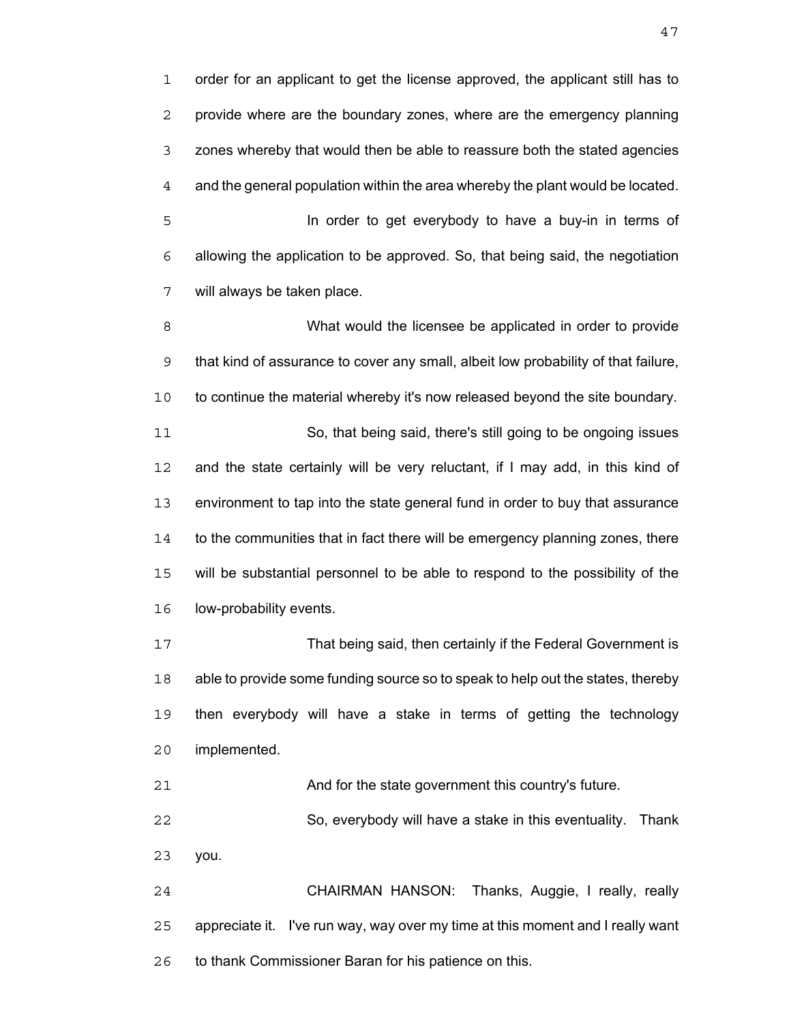order for an applicant to get the license approved, the applicant still has to provide where are the boundary zones, where are the emergency planning zones whereby that would then be able to reassure both the stated agencies and the general population within the area whereby the plant would be located. In order to get everybody to have a buy-in in terms of allowing the application to be approved. So, that being said, the negotiation will always be taken place.

What would the licensee be applicated in order to provide that kind of assurance to cover any small, albeit low probability of that failure, to continue the material whereby it's now released beyond the site boundary. So, that being said, there's still going to be ongoing issues and the state certainly will be very reluctant, if I may add, in this kind of environment to tap into the state general fund in order to buy that assurance to the communities that in fact there will be emergency planning zones, there will be substantial personnel to be able to respond to the possibility of the low-probability events.

That being said, then certainly if the Federal Government is able to provide some funding source so to speak to help out the states, thereby then everybody will have a stake in terms of getting the technology implemented.

And for the state government this country's future.

So, everybody will have a stake in this eventuality. Thank you.

CHAIRMAN HANSON: Thanks, Auggie, I really, really appreciate it. I've run way, way over my time at this moment and I really want to thank Commissioner Baran for his patience on this.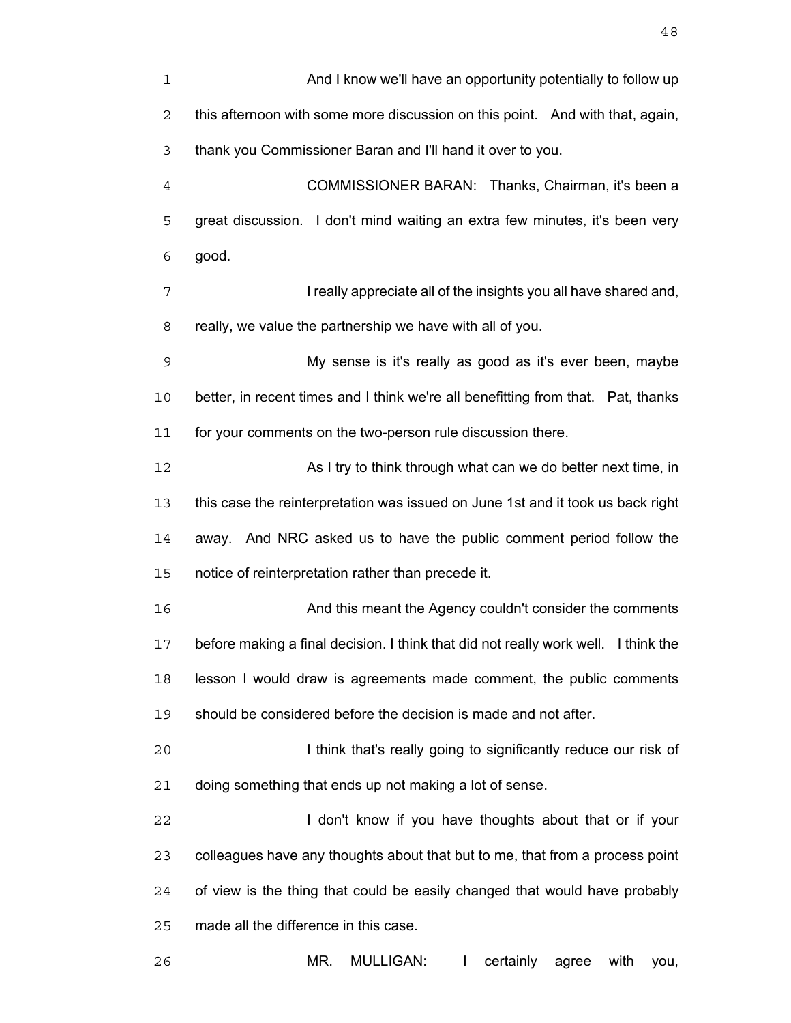| $\mathbf{1}$   | And I know we'll have an opportunity potentially to follow up                      |
|----------------|------------------------------------------------------------------------------------|
| $\sqrt{2}$     | this afternoon with some more discussion on this point. And with that, again,      |
| 3              | thank you Commissioner Baran and I'll hand it over to you.                         |
| $\overline{4}$ | COMMISSIONER BARAN: Thanks, Chairman, it's been a                                  |
| 5              | great discussion. I don't mind waiting an extra few minutes, it's been very        |
| 6              | good.                                                                              |
| 7              | I really appreciate all of the insights you all have shared and,                   |
| 8              | really, we value the partnership we have with all of you.                          |
| 9              | My sense is it's really as good as it's ever been, maybe                           |
| 10             | better, in recent times and I think we're all benefitting from that. Pat, thanks   |
| 11             | for your comments on the two-person rule discussion there.                         |
| 12             | As I try to think through what can we do better next time, in                      |
| 13             | this case the reinterpretation was issued on June 1st and it took us back right    |
| 14             | away. And NRC asked us to have the public comment period follow the                |
| 15             | notice of reinterpretation rather than precede it.                                 |
| 16             | And this meant the Agency couldn't consider the comments                           |
| 17             | before making a final decision. I think that did not really work well. I think the |
| 18             | lesson I would draw is agreements made comment, the public comments                |
| 19             | should be considered before the decision is made and not after.                    |
| 20             | I think that's really going to significantly reduce our risk of                    |
| 21             | doing something that ends up not making a lot of sense.                            |
| 22             | I don't know if you have thoughts about that or if your                            |
| 23             | colleagues have any thoughts about that but to me, that from a process point       |
| 24             | of view is the thing that could be easily changed that would have probably         |
| 25             | made all the difference in this case.                                              |
| 26             | MR.<br><b>MULLIGAN:</b><br>certainly<br>with<br>$\mathbf{I}$<br>agree<br>you,      |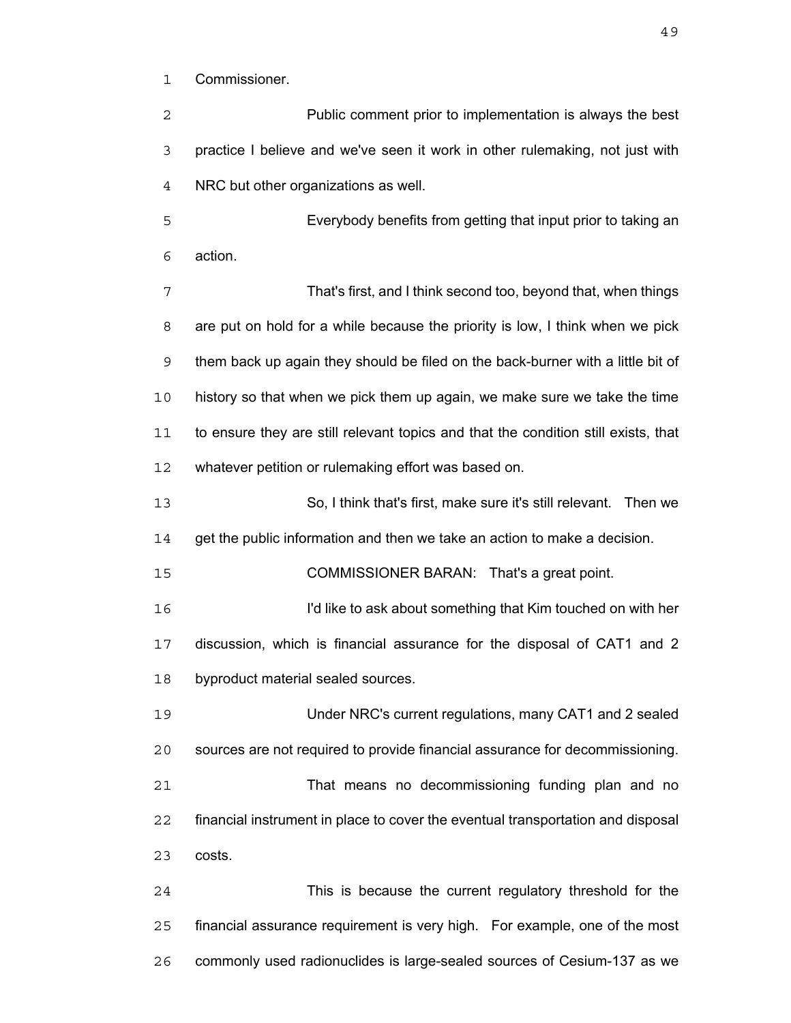Commissioner.

| 2  | Public comment prior to implementation is always the best                          |
|----|------------------------------------------------------------------------------------|
| 3  | practice I believe and we've seen it work in other rulemaking, not just with       |
| 4  | NRC but other organizations as well.                                               |
| 5  | Everybody benefits from getting that input prior to taking an                      |
| 6  | action.                                                                            |
| 7  | That's first, and I think second too, beyond that, when things                     |
| 8  | are put on hold for a while because the priority is low, I think when we pick      |
| 9  | them back up again they should be filed on the back-burner with a little bit of    |
| 10 | history so that when we pick them up again, we make sure we take the time          |
| 11 | to ensure they are still relevant topics and that the condition still exists, that |
| 12 | whatever petition or rulemaking effort was based on.                               |
| 13 | So, I think that's first, make sure it's still relevant. Then we                   |
| 14 | get the public information and then we take an action to make a decision.          |
| 15 | COMMISSIONER BARAN: That's a great point.                                          |
| 16 | I'd like to ask about something that Kim touched on with her                       |
| 17 | discussion, which is financial assurance for the disposal of CAT1 and 2            |
| 18 | byproduct material sealed sources.                                                 |
| 19 | Under NRC's current regulations, many CAT1 and 2 sealed                            |
| 20 | sources are not required to provide financial assurance for decommissioning.       |
| 21 | That means no decommissioning funding plan and no                                  |
| 22 | financial instrument in place to cover the eventual transportation and disposal    |
| 23 | costs.                                                                             |
| 24 | This is because the current regulatory threshold for the                           |
| 25 | financial assurance requirement is very high. For example, one of the most         |
| 26 | commonly used radionuclides is large-sealed sources of Cesium-137 as we            |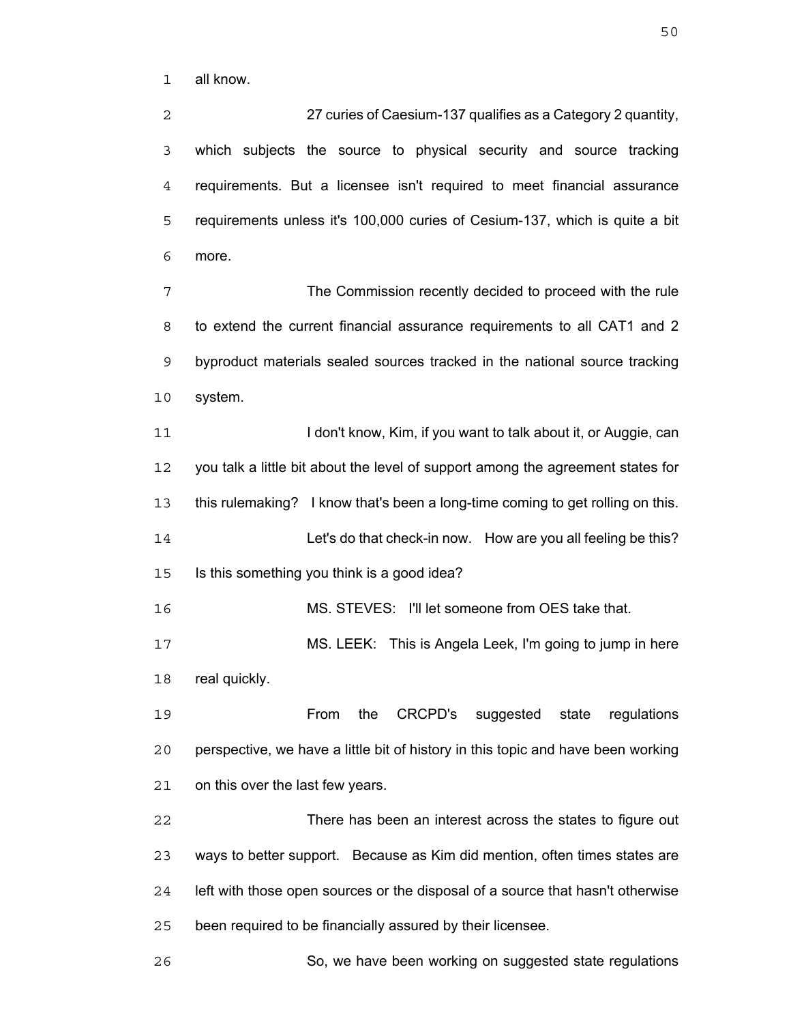all know.

27 curies of Caesium-137 qualifies as a Category 2 quantity, which subjects the source to physical security and source tracking requirements. But a licensee isn't required to meet financial assurance requirements unless it's 100,000 curies of Cesium-137, which is quite a bit more.

The Commission recently decided to proceed with the rule to extend the current financial assurance requirements to all CAT1 and 2 byproduct materials sealed sources tracked in the national source tracking system.

11 I don't know, Kim, if you want to talk about it, or Auggie, can you talk a little bit about the level of support among the agreement states for this rulemaking? I know that's been a long-time coming to get rolling on this. Let's do that check-in now. How are you all feeling be this? Is this something you think is a good idea?

MS. STEVES: I'll let someone from OES take that.

MS. LEEK: This is Angela Leek, I'm going to jump in here real quickly.

From the CRCPD's suggested state regulations perspective, we have a little bit of history in this topic and have been working on this over the last few years.

There has been an interest across the states to figure out ways to better support. Because as Kim did mention, often times states are left with those open sources or the disposal of a source that hasn't otherwise been required to be financially assured by their licensee.

So, we have been working on suggested state regulations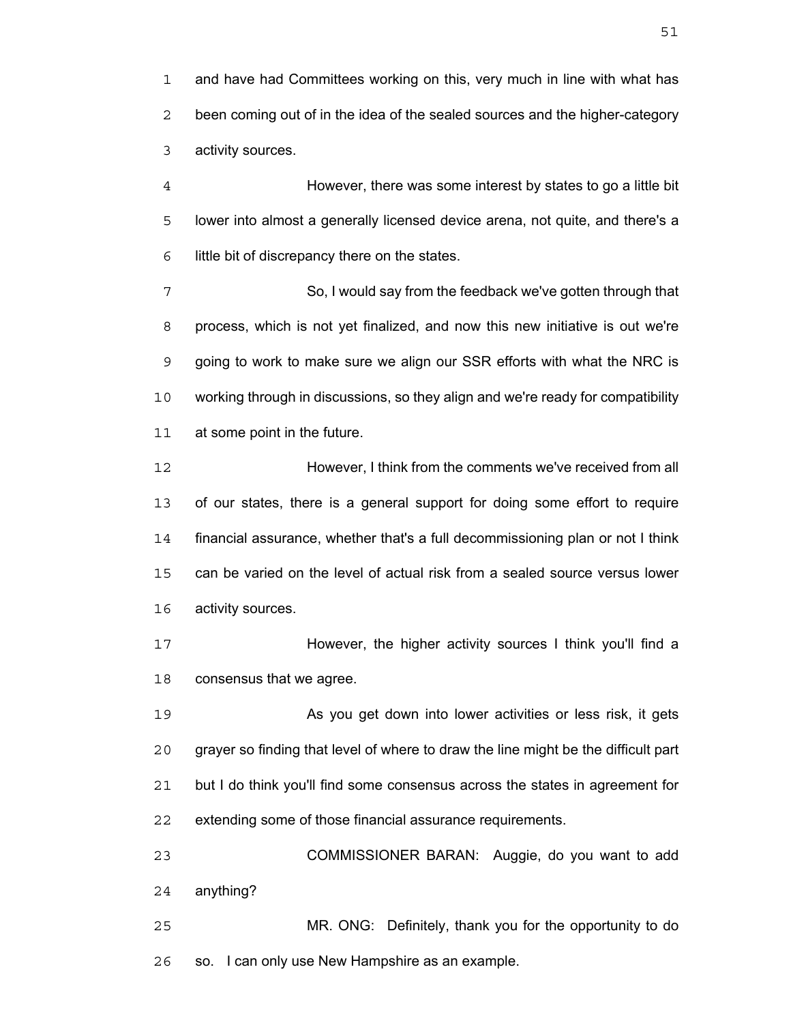and have had Committees working on this, very much in line with what has been coming out of in the idea of the sealed sources and the higher-category activity sources.

However, there was some interest by states to go a little bit lower into almost a generally licensed device arena, not quite, and there's a little bit of discrepancy there on the states.

So, I would say from the feedback we've gotten through that process, which is not yet finalized, and now this new initiative is out we're going to work to make sure we align our SSR efforts with what the NRC is working through in discussions, so they align and we're ready for compatibility at some point in the future.

However, I think from the comments we've received from all of our states, there is a general support for doing some effort to require financial assurance, whether that's a full decommissioning plan or not I think can be varied on the level of actual risk from a sealed source versus lower activity sources.

However, the higher activity sources I think you'll find a consensus that we agree.

As you get down into lower activities or less risk, it gets grayer so finding that level of where to draw the line might be the difficult part but I do think you'll find some consensus across the states in agreement for extending some of those financial assurance requirements.

COMMISSIONER BARAN: Auggie, do you want to add anything?

MR. ONG: Definitely, thank you for the opportunity to do so. I can only use New Hampshire as an example.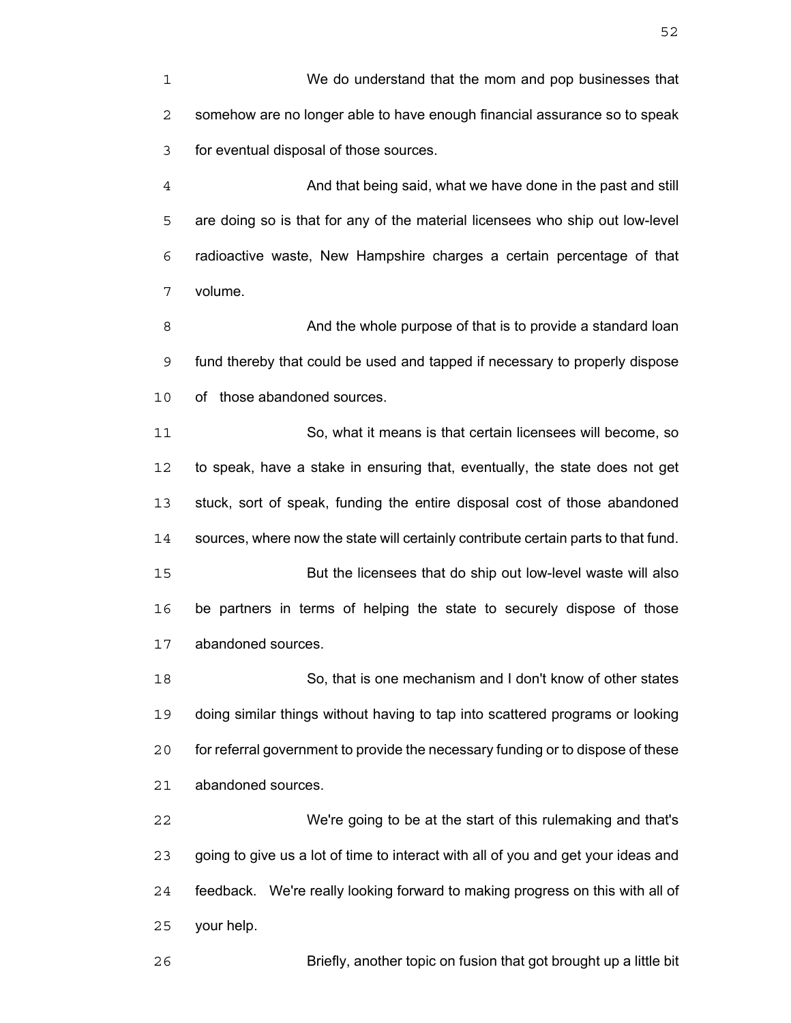We do understand that the mom and pop businesses that somehow are no longer able to have enough financial assurance so to speak for eventual disposal of those sources.

And that being said, what we have done in the past and still are doing so is that for any of the material licensees who ship out low-level radioactive waste, New Hampshire charges a certain percentage of that volume.

8 And the whole purpose of that is to provide a standard loan fund thereby that could be used and tapped if necessary to properly dispose of those abandoned sources.

So, what it means is that certain licensees will become, so to speak, have a stake in ensuring that, eventually, the state does not get stuck, sort of speak, funding the entire disposal cost of those abandoned sources, where now the state will certainly contribute certain parts to that fund. But the licensees that do ship out low-level waste will also

be partners in terms of helping the state to securely dispose of those abandoned sources.

So, that is one mechanism and I don't know of other states doing similar things without having to tap into scattered programs or looking for referral government to provide the necessary funding or to dispose of these abandoned sources.

We're going to be at the start of this rulemaking and that's going to give us a lot of time to interact with all of you and get your ideas and feedback. We're really looking forward to making progress on this with all of your help.

Briefly, another topic on fusion that got brought up a little bit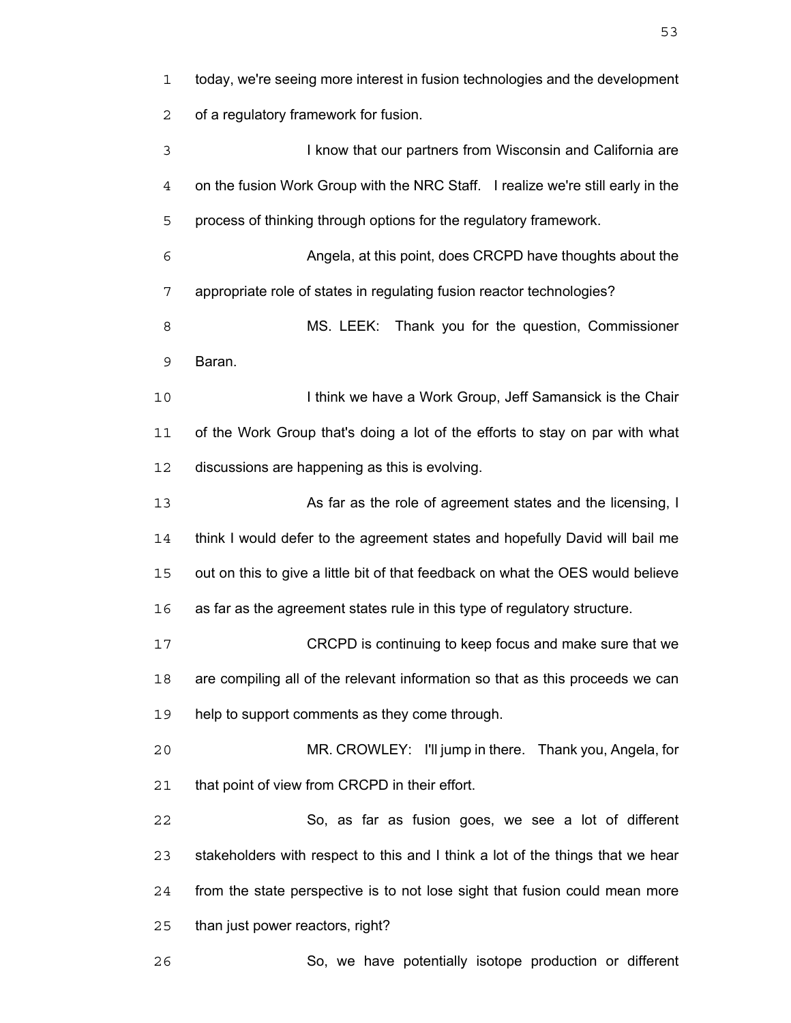today, we're seeing more interest in fusion technologies and the development of a regulatory framework for fusion. I know that our partners from Wisconsin and California are on the fusion Work Group with the NRC Staff. I realize we're still early in the process of thinking through options for the regulatory framework. Angela, at this point, does CRCPD have thoughts about the appropriate role of states in regulating fusion reactor technologies? MS. LEEK: Thank you for the question, Commissioner Baran. 10 I think we have a Work Group, Jeff Samansick is the Chair of the Work Group that's doing a lot of the efforts to stay on par with what discussions are happening as this is evolving. 13 As far as the role of agreement states and the licensing, I think I would defer to the agreement states and hopefully David will bail me out on this to give a little bit of that feedback on what the OES would believe as far as the agreement states rule in this type of regulatory structure. CRCPD is continuing to keep focus and make sure that we are compiling all of the relevant information so that as this proceeds we can 19 help to support comments as they come through. MR. CROWLEY: I'll jump in there. Thank you, Angela, for that point of view from CRCPD in their effort. So, as far as fusion goes, we see a lot of different stakeholders with respect to this and I think a lot of the things that we hear from the state perspective is to not lose sight that fusion could mean more than just power reactors, right? So, we have potentially isotope production or different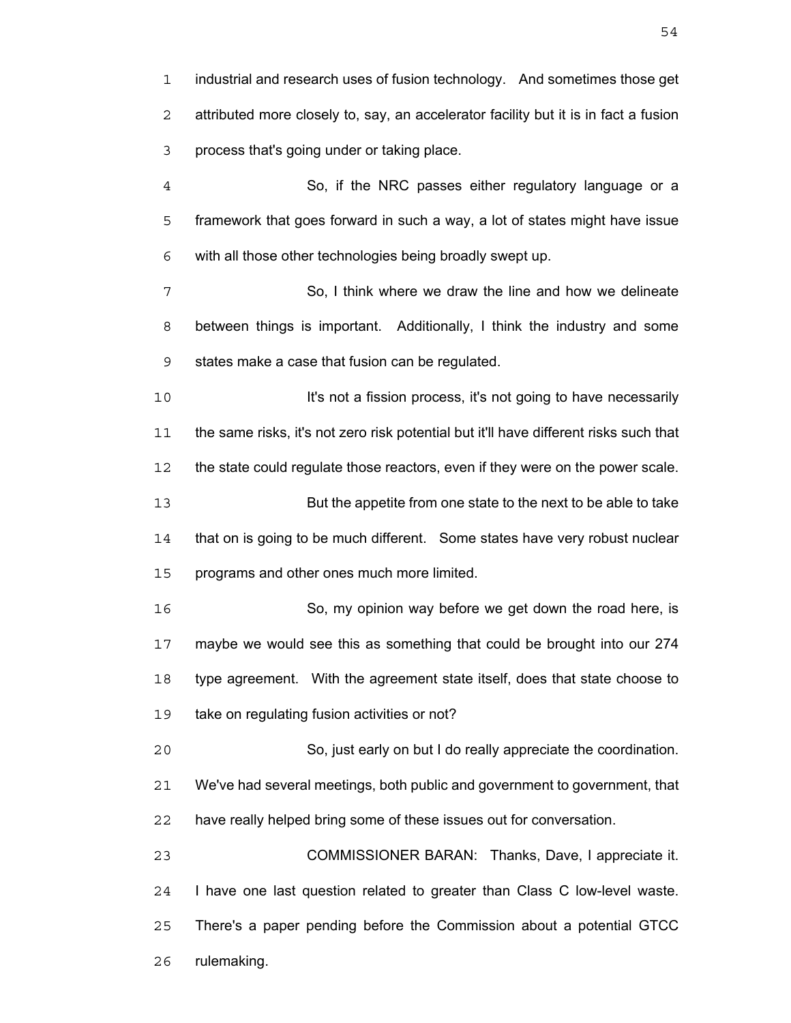industrial and research uses of fusion technology. And sometimes those get attributed more closely to, say, an accelerator facility but it is in fact a fusion process that's going under or taking place.

So, if the NRC passes either regulatory language or a framework that goes forward in such a way, a lot of states might have issue with all those other technologies being broadly swept up.

So, I think where we draw the line and how we delineate between things is important. Additionally, I think the industry and some states make a case that fusion can be regulated.

**It's not a fission process, it's not going to have necessarily** the same risks, it's not zero risk potential but it'll have different risks such that the state could regulate those reactors, even if they were on the power scale. But the appetite from one state to the next to be able to take that on is going to be much different. Some states have very robust nuclear programs and other ones much more limited.

So, my opinion way before we get down the road here, is maybe we would see this as something that could be brought into our 274 type agreement. With the agreement state itself, does that state choose to take on regulating fusion activities or not?

So, just early on but I do really appreciate the coordination. We've had several meetings, both public and government to government, that have really helped bring some of these issues out for conversation.

COMMISSIONER BARAN: Thanks, Dave, I appreciate it. I have one last question related to greater than Class C low-level waste. There's a paper pending before the Commission about a potential GTCC rulemaking.